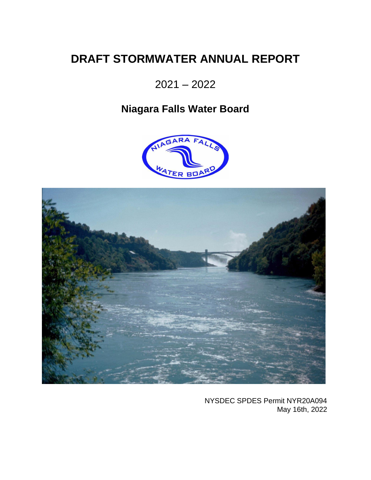# **DRAFT STORMWATER ANNUAL REPORT**

2021 – 2022

# **Niagara Falls Water Board**





NYSDEC SPDES Permit NYR20A094 May 16th, 2022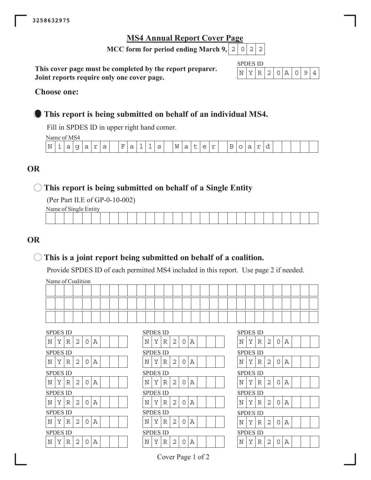## **MS4 Annual Report Cover Page**

**MCC form for period ending March 9, 2022** 

This cover page must be completed by the report preparer. Joint reports require only one cover page.

| SPD. | ч. | S 11) |    |  |  |  |
|------|----|-------|----|--|--|--|
|      |    |       | 21 |  |  |  |

### **Choose one:**

## **• This report is being submitted on behalf of an individual MS4.**

Fill in SPDES ID in upper right hand corner.

Name of MS4

|                  | $\cdots$ |         |                               |   |        |   |                               |             |  |             |   |             |   |   |                     |                               |  |     |  |  |  |
|------------------|----------|---------|-------------------------------|---|--------|---|-------------------------------|-------------|--|-------------|---|-------------|---|---|---------------------|-------------------------------|--|-----|--|--|--|
| . N<br><b>LV</b> | ∸        | ∽<br>`a | ◡<br>$\overline{\phantom{0}}$ | ◡ | $\sim$ | ີ | н<br>$\overline{\phantom{0}}$ | -<br>-<br>ີ |  | $\sim$<br>~ | W | ∽<br>ᅬ<br>ີ | ╌ | ∼ | $\sim$<br><b>__</b> | $\overline{\phantom{0}}$<br>ے |  | $-$ |  |  |  |
|                  |          |         |                               |   |        |   |                               |             |  |             |   |             |   |   |                     |                               |  |     |  |  |  |

## **25**

## **This report is being submitted on behalf of a Single Entity**

(Per Part II.E of GP-0-10-002)

Name of Single Entity

|  |  |  |  |  |  | the contract of the contract of the contract of |  |  |  |  |  | the contract of the contract of the contract of |  |
|--|--|--|--|--|--|-------------------------------------------------|--|--|--|--|--|-------------------------------------------------|--|
|  |  |  |  |  |  |                                                 |  |  |  |  |  |                                                 |  |

## **25**

## $\bigcirc$  This is a joint report being submitted on behalf of a coalition.

Provide SPDES ID of each permitted MS4 included in this report. Use page 2 if needed.

Name of Coalition

| $\ldots$ |  |  |  |  |  |      |  |  |  |  |  |  |  |  |      |
|----------|--|--|--|--|--|------|--|--|--|--|--|--|--|--|------|
|          |  |  |  |  |  |      |  |  |  |  |  |  |  |  |      |
|          |  |  |  |  |  | ____ |  |  |  |  |  |  |  |  | ____ |
|          |  |  |  |  |  |      |  |  |  |  |  |  |  |  |      |

| Ν<br>Υ<br>N<br>Υ<br>N<br>Υ<br>2<br>Α<br>2<br>Α<br>R<br>0<br>R<br>0<br><b>SPDES ID</b><br><b>SPDES ID</b><br><b>SPDES ID</b><br>Y<br>N<br>2<br>N<br>Υ<br>2<br>A<br>N<br>Y<br>0<br>Α<br>R<br>R<br>0<br><b>SPDES ID</b><br><b>SPDES ID</b><br><b>SPDES ID</b><br>N<br>N<br>Y<br>2<br>Α<br>Y<br>Y<br>2<br>N<br>R<br>0<br>Α<br>R<br>$\Omega$<br><b>SPDES ID</b><br><b>SPDES ID</b><br><b>SPDES ID</b><br>N<br>N<br>Υ<br>2<br>А<br>N<br>Υ<br>Y<br>А<br>R<br>2<br>0<br>R<br>0<br><b>SPDES ID</b><br><b>SPDES ID</b><br><b>SPDES ID</b><br>Ν<br>Υ<br>Υ<br>Ν<br>2<br>2<br>Α<br>Α<br>R<br>R<br>0<br>$\Omega$<br>Y<br>N<br><b>SPDES ID</b><br><b>SPDES ID</b><br><b>SPDES ID</b><br>N<br>N<br>Υ<br>Α<br>Y<br>Y<br>2<br>N<br>R<br>2<br>0<br>А<br>R<br>O | <b>SPDES ID</b> |  |  |  |  | <b>SPDES ID</b> |  |  |  |  | <b>SPDES ID</b> |   |
|---------------------------------------------------------------------------------------------------------------------------------------------------------------------------------------------------------------------------------------------------------------------------------------------------------------------------------------------------------------------------------------------------------------------------------------------------------------------------------------------------------------------------------------------------------------------------------------------------------------------------------------------------------------------------------------------------------------------------------------------|-----------------|--|--|--|--|-----------------|--|--|--|--|-----------------|---|
|                                                                                                                                                                                                                                                                                                                                                                                                                                                                                                                                                                                                                                                                                                                                             |                 |  |  |  |  |                 |  |  |  |  |                 | R |
|                                                                                                                                                                                                                                                                                                                                                                                                                                                                                                                                                                                                                                                                                                                                             |                 |  |  |  |  |                 |  |  |  |  |                 |   |
|                                                                                                                                                                                                                                                                                                                                                                                                                                                                                                                                                                                                                                                                                                                                             |                 |  |  |  |  |                 |  |  |  |  |                 | R |
|                                                                                                                                                                                                                                                                                                                                                                                                                                                                                                                                                                                                                                                                                                                                             |                 |  |  |  |  |                 |  |  |  |  |                 |   |
|                                                                                                                                                                                                                                                                                                                                                                                                                                                                                                                                                                                                                                                                                                                                             |                 |  |  |  |  |                 |  |  |  |  |                 | R |
|                                                                                                                                                                                                                                                                                                                                                                                                                                                                                                                                                                                                                                                                                                                                             |                 |  |  |  |  |                 |  |  |  |  |                 |   |
|                                                                                                                                                                                                                                                                                                                                                                                                                                                                                                                                                                                                                                                                                                                                             |                 |  |  |  |  |                 |  |  |  |  |                 | R |
|                                                                                                                                                                                                                                                                                                                                                                                                                                                                                                                                                                                                                                                                                                                                             |                 |  |  |  |  |                 |  |  |  |  |                 |   |
|                                                                                                                                                                                                                                                                                                                                                                                                                                                                                                                                                                                                                                                                                                                                             |                 |  |  |  |  |                 |  |  |  |  |                 | R |
|                                                                                                                                                                                                                                                                                                                                                                                                                                                                                                                                                                                                                                                                                                                                             |                 |  |  |  |  |                 |  |  |  |  |                 |   |
|                                                                                                                                                                                                                                                                                                                                                                                                                                                                                                                                                                                                                                                                                                                                             |                 |  |  |  |  |                 |  |  |  |  |                 | R |

|   | <b>SPDES ID</b> |   |   |          |   |  |   | <b>SPDES ID</b> |   |                |          |   |  |  | <b>SPDES ID</b> |   |   |                |          |   |
|---|-----------------|---|---|----------|---|--|---|-----------------|---|----------------|----------|---|--|--|-----------------|---|---|----------------|----------|---|
| Ν | Υ               | R | 2 | $\Omega$ | Α |  | Ν | Y               | R | 2              | $\Omega$ | Α |  |  | Ν               | Υ | R | 2              | 0        | Α |
|   | SPDES ID        |   |   |          |   |  |   | <b>SPDES ID</b> |   |                |          |   |  |  | <b>SPDES ID</b> |   |   |                |          |   |
| Ν | Υ               | R | 2 | $\Omega$ | Α |  | N | Υ               | R | 2              | $\Omega$ | Α |  |  | Ν               | Υ | R | 2              | 0        | Α |
|   | SPDES ID        |   |   |          |   |  |   | <b>SPDES ID</b> |   |                |          |   |  |  | <b>SPDES ID</b> |   |   |                |          |   |
| N | Υ               | R | 2 | 0        | A |  | N | Y               | R | 2              | 0        | Α |  |  | Ν               | Υ | R | 2              | 0        | Α |
|   | SPDES ID        |   |   |          |   |  |   | <b>SPDES ID</b> |   |                |          |   |  |  | <b>SPDES ID</b> |   |   |                |          |   |
| N | Υ               | R | 2 | 0        | Α |  | N | Y               | R | $\overline{2}$ | O        | Α |  |  | N               | Υ | R | $\overline{2}$ | 0        | Α |
|   | SPDES ID        |   |   |          |   |  |   | <b>SPDES ID</b> |   |                |          |   |  |  | <b>SPDES ID</b> |   |   |                |          |   |
| N | Y               | R | 2 | $\Omega$ | A |  | N | Y               | R | 2              | $\Omega$ | Α |  |  | Ν               | Υ | R | 2              | 0        | Α |
|   | SPDES ID        |   |   |          |   |  |   | <b>SPDES ID</b> |   |                |          |   |  |  | <b>SPDES ID</b> |   |   |                |          |   |
| Ν | Υ               | R | 2 | 0        | Α |  | N | Υ               | R | 2              | 0        | Α |  |  | N               | Υ | R | 2              | $\Omega$ | Α |
|   |                 |   |   |          |   |  |   |                 |   |                |          |   |  |  |                 |   |   |                |          |   |

| SPDES ID        |   |   |                |          |             |  |  |
|-----------------|---|---|----------------|----------|-------------|--|--|
| N               | Y | R | $\mathbf{2}$   | 0        | Α           |  |  |
| SPDES ID        |   |   |                |          |             |  |  |
| N               | Y | R | $\overline{2}$ | $\Omega$ | $\mathbb A$ |  |  |
| SPDES ID        |   |   |                |          |             |  |  |
| N               | Y | R | 2              | 0        | $\mathbb A$ |  |  |
| SPDES ID        |   |   |                |          |             |  |  |
| N               | Y | R | $\overline{c}$ | $\Omega$ | A           |  |  |
| <b>SPDES ID</b> |   |   |                |          |             |  |  |
| N               | Y | R | $\mathbf 2$    | O        | Α           |  |  |
| <b>SPDES ID</b> |   |   |                |          |             |  |  |
| N               | Y | R | $\overline{2}$ | ∩        | A           |  |  |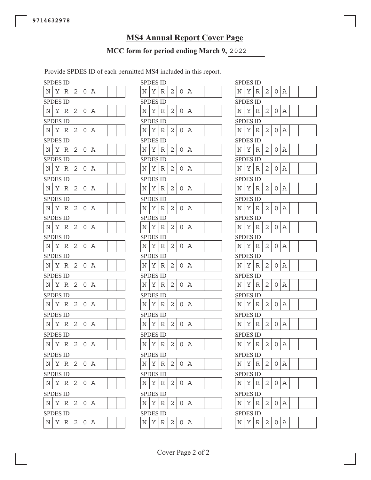# **MS4 Annual Report Cover Page**

## MCC form for period ending March 9, 2022

Provide SPDES ID of each permitted MS4 included in this report.

|                    | <b>SPDES ID</b> |   |   |   |   |   | SPDES ID        |   |
|--------------------|-----------------|---|---|---|---|---|-----------------|---|
| Ν                  | Υ               | R | 2 | 0 | Α | N | Υ               | R |
|                    | SPDES ID        |   |   |   |   |   | <b>SPDES ID</b> |   |
| N                  | Υ               | R | 2 | 0 | Α | N | Υ               | R |
|                    | <b>SPDES ID</b> |   |   |   |   |   | <b>SPDES ID</b> |   |
| Ν                  | Υ               | R | 2 | 0 | Α | N | Y               | R |
|                    | <b>SPDES ID</b> |   |   |   |   |   | SPDES ID        |   |
| N                  | Υ               | R | 2 | 0 | Α | N | Υ               | R |
|                    | <b>SPDES ID</b> |   |   |   |   |   | <b>SPDES ID</b> |   |
| N                  | Υ               | R | 2 | 0 | Α | N | Υ               | R |
|                    | <b>SPDES ID</b> |   |   |   |   |   | <b>SPDES ID</b> |   |
| Ν                  | Υ               | R | 2 | 0 | Α | N | Υ               | R |
|                    | SPDES ID        |   |   |   |   |   | SPDES ID        |   |
| N                  | Υ               | R | 2 | 0 | Α | Ν | Υ               | R |
|                    | <b>SPDES ID</b> |   |   |   |   |   | <b>SPDES ID</b> |   |
| N                  | Υ               | R | 2 | 0 | Α | N | Υ               | R |
|                    | SPDES ID        |   |   |   |   |   | <b>SPDES ID</b> |   |
| N                  | Υ               | R | 2 | 0 | Α | N | Υ               | R |
|                    | SPDES ID        |   |   |   |   |   | SPDES ID        |   |
| Ν                  | Υ               | R | 2 | 0 | Α | Ν | Υ               | R |
|                    | <b>SPDES ID</b> |   |   |   |   |   | <b>SPDES ID</b> |   |
| N                  | Υ               | R | 2 | 0 | Α | N | Υ               | R |
|                    | SPDES ID        |   |   |   |   |   | <b>SPDES ID</b> |   |
| N                  | Υ               | R | 2 | 0 | Α | N | Υ               | R |
|                    | SPDES ID        |   |   |   |   |   | SPDES ID        |   |
| Ν                  | Υ               | R | 2 | 0 | Α | Ν | Υ               | R |
|                    | SPDES ID        |   |   |   |   |   | SPDES ID        |   |
| N                  | Υ               | R | 2 | 0 | Α | N | Υ               | R |
|                    | <b>SPDES ID</b> |   |   |   |   |   | <b>SPDES ID</b> |   |
| Ν                  | Υ               | R | 2 | 0 | Α | N | Υ               | R |
|                    | <b>SPDES ID</b> |   |   |   |   |   | <b>SPDES ID</b> |   |
| Ν                  | Υ               | R | 2 | 0 | Α | N | Υ               | R |
|                    | <b>SPDES ID</b> |   |   |   |   |   | <b>SPDES ID</b> |   |
| $\overline{\rm N}$ | Υ               | R | 2 | 0 | Α | N | Υ               | R |
|                    | SPDES ID        |   |   |   |   |   | <b>SPDES ID</b> |   |
| N                  | Υ               | R | 2 | 0 | Α | N | Υ               | R |

|            | <b>SPDES ID</b> |             |   |          |   |  |  |            | <b>SPDES ID</b> |             |              |   |   |  |  | <b>SPDES ID</b> |   |             |   |                |   |
|------------|-----------------|-------------|---|----------|---|--|--|------------|-----------------|-------------|--------------|---|---|--|--|-----------------|---|-------------|---|----------------|---|
| $_{\rm N}$ | Y               | R           | 2 | $\Omega$ | Α |  |  | N          | Υ               | R           | 2            | 0 | Α |  |  | Ν               | Υ | R           | 2 | $\Omega$       | Α |
|            | SPDES ID        |             |   |          |   |  |  |            | <b>SPDES ID</b> |             |              |   |   |  |  | <b>SPDES ID</b> |   |             |   |                |   |
| N          | Υ               | R           | 2 | 0        | Α |  |  | Ν          | Υ               | R           | 2            | 0 | Α |  |  | N               | Υ | R           | 2 | 0              | Α |
|            | <b>SPDES ID</b> |             |   |          |   |  |  |            | <b>SPDES ID</b> |             |              |   |   |  |  | <b>SPDES ID</b> |   |             |   |                |   |
| N          | Υ               | R           | 2 | 0        | Α |  |  | Ν          | Υ               | R           | 2            | 0 | Α |  |  | Ν               | Υ | R           | 2 | 0              | Α |
|            | <b>SPDES ID</b> |             |   |          |   |  |  |            | <b>SPDES ID</b> |             |              |   |   |  |  | <b>SPDES ID</b> |   |             |   |                |   |
| Ν          | Υ               | $\mathbb R$ | 2 | $\Omega$ | Α |  |  | Ν          | Y               | R           | 2            | 0 | А |  |  | Ν               | Υ | R           | 2 | $\overline{O}$ | Α |
|            | <b>SPDES ID</b> |             |   |          |   |  |  |            | <b>SPDES ID</b> |             |              |   |   |  |  | <b>SPDES ID</b> |   |             |   |                |   |
| N          | Υ               | R           | 2 | 0        | Α |  |  | Ν          | Υ               | R           | 2            | 0 | Α |  |  | N               | Υ | R           | 2 | $0 \mid A$     |   |
|            | <b>SPDES ID</b> |             |   |          |   |  |  |            | <b>SPDES ID</b> |             |              |   |   |  |  | <b>SPDES ID</b> |   |             |   |                |   |
| Ν          | Υ               | R           | 2 | 0        | Α |  |  | Ν          | Υ               | R           | $\mathbf{2}$ | 0 | Α |  |  | N               | Υ | R           | 2 | 0              | Α |
|            | <b>SPDES ID</b> |             |   |          |   |  |  |            | <b>SPDES ID</b> |             |              |   |   |  |  | <b>SPDES ID</b> |   |             |   |                |   |
| N          | Υ               | $\mathbb R$ | 2 | 0        | Α |  |  | N          | Y               | R           | 2            | 0 | Α |  |  | N               | Υ | R           | 2 | $0 \mid A$     |   |
|            | <b>SPDES ID</b> |             |   |          |   |  |  |            | <b>SPDES ID</b> |             |              |   |   |  |  | <b>SPDES ID</b> |   |             |   |                |   |
| N          | Υ               | R           | 2 | 0        | Α |  |  | Ν          | Υ               | R           | 2            | 0 | Α |  |  | N               | Υ | R           | 2 | $\overline{O}$ | Α |
|            | <b>SPDES ID</b> |             |   |          |   |  |  |            | <b>SPDES ID</b> |             |              |   |   |  |  | <b>SPDES ID</b> |   |             |   |                |   |
| N          | Υ               | R           | 2 | 0        | Α |  |  | N          | Υ               | R           | 2            | 0 | Α |  |  | N               | Υ | R           | 2 | $\Omega$       | Α |
|            | <b>SPDES ID</b> |             |   |          |   |  |  |            | <b>SPDES ID</b> |             |              |   |   |  |  | <b>SPDES ID</b> |   |             |   |                |   |
| Ν          | Υ               | $\mathbb R$ | 2 | 0        | Α |  |  | N          | Υ               | $\mathbb R$ | 2            | 0 | Α |  |  | Ν               | Υ | $\mathbb R$ | 2 | $\overline{O}$ | Α |
|            | <b>SPDES ID</b> |             |   |          |   |  |  |            | <b>SPDES ID</b> |             |              |   |   |  |  | <b>SPDES ID</b> |   |             |   |                |   |
| N          | Υ               | R           | 2 | 0        | Α |  |  | Ν          | Υ               | R           | 2            | 0 | Α |  |  | Ν               | Υ | R           | 2 | $0 \mid A$     |   |
|            | <b>SPDES ID</b> |             |   |          |   |  |  |            | <b>SPDES ID</b> |             |              |   |   |  |  | <b>SPDES ID</b> |   |             |   |                |   |
| N          | Υ               | R           | 2 | 0        | Α |  |  | N          | Υ               | R           | 2            | 0 | Α |  |  | N               | Υ | R           | 2 | $\Omega$       | Α |
|            | <b>SPDES ID</b> |             |   |          |   |  |  |            | <b>SPDES ID</b> |             |              |   |   |  |  | <b>SPDES ID</b> |   |             |   |                |   |
| Ν          | Y               | R           | 2 | $\Omega$ | Α |  |  | Ν          | Υ               | R           | 2            | 0 | Α |  |  | Ν               | Υ | R           | 2 | $\overline{0}$ | A |
|            | <b>SPDES ID</b> |             |   |          |   |  |  |            | <b>SPDES ID</b> |             |              |   |   |  |  | <b>SPDES ID</b> |   |             |   |                |   |
| N          | Υ               | R           | 2 | 0        | Α |  |  | N          | Υ               | R           | 2            | 0 | Α |  |  | N               | Υ | R           | 2 | 0              | А |
|            | <b>SPDES ID</b> |             |   |          |   |  |  |            | <b>SPDES ID</b> |             |              |   |   |  |  | <b>SPDES ID</b> |   |             |   |                |   |
| N          | Υ               | $\mathbb R$ | 2 | 0        | А |  |  | N          | Υ               | R           | 2            | 0 | Α |  |  | Ν               | Υ | R           | 2 | $\Omega$       | А |
|            | <b>SPDES ID</b> |             |   |          |   |  |  |            | <b>SPDES ID</b> |             |              |   |   |  |  | <b>SPDES ID</b> |   |             |   |                |   |
| Ν          | Υ               | R           | 2 | 0        | Α |  |  | Ν          | Υ               | R           | 2            | 0 | Α |  |  | Ν               | Υ | R           | 2 | 0              | Α |
|            | <b>SPDES ID</b> |             |   |          |   |  |  |            | <b>SPDES ID</b> |             |              |   |   |  |  | <b>SPDES ID</b> |   |             |   |                |   |
| Ν          | Υ               | R           | 2 | 0        | Α |  |  | Ν          | Υ               | R           | 2            | 0 | Α |  |  | Ν               | Υ | R           | 2 | $\Omega$       | А |
|            | <b>SPDES ID</b> |             |   |          |   |  |  |            | <b>SPDES ID</b> |             |              |   |   |  |  | <b>SPDES ID</b> |   |             |   |                |   |
| N          | Y               | $\mathbb R$ | 2 | 0        | Α |  |  | $_{\rm N}$ | Y               | R           | 2            | 0 | Α |  |  | Ν               | Υ | $\mathbb R$ | 2 | $\overline{O}$ | Α |
|            |                 |             |   |          |   |  |  |            |                 |             |              |   |   |  |  |                 |   |             |   |                |   |

| <b>SPDES ID</b>    |   |   |                |   |                |  |  |
|--------------------|---|---|----------------|---|----------------|--|--|
| N                  | Υ | R | 2              | 0 | Α              |  |  |
| <b>SPDES ID</b>    |   |   |                |   |                |  |  |
| Ν                  | Υ | R | $\overline{c}$ | 0 | Α              |  |  |
| <b>SPDES ID</b>    |   |   |                |   |                |  |  |
| Ν                  | Υ | R | 2              | 0 | Α              |  |  |
| <b>SPDES ID</b>    |   |   |                |   |                |  |  |
| $\overline{\rm N}$ | Υ | R | 2              | 0 | Α              |  |  |
| <b>SPDES ID</b>    |   |   |                |   |                |  |  |
| Ν                  | Υ | R | $\overline{c}$ | 0 | Α              |  |  |
| <b>SPDES ID</b>    |   |   |                |   |                |  |  |
| N                  | Υ | R | 2              | 0 | Α              |  |  |
| <b>SPDES ID</b>    |   |   |                |   |                |  |  |
| N                  | Υ | R | 2              | 0 | Α              |  |  |
| SPDES ID           |   |   |                |   |                |  |  |
| N                  | Υ | R | $\overline{c}$ | 0 | Α              |  |  |
| <b>SPDES ID</b>    |   |   |                |   |                |  |  |
| Ν                  | Υ | R | 2              | 0 | Α              |  |  |
| SPDES ID           |   |   |                |   |                |  |  |
| Ν                  | Υ | R | 2              | 0 | Α              |  |  |
| SPDES ID           |   |   |                |   |                |  |  |
| Ν                  | Υ | R | $\overline{c}$ | 0 | Α              |  |  |
| <b>SPDES ID</b>    |   |   |                |   |                |  |  |
| Ν                  | Υ | R | 2              | 0 | Α              |  |  |
| SPDES ID           |   |   |                |   |                |  |  |
| N                  | Υ | R | 2              | 0 | Α              |  |  |
| SPDES ID           |   |   |                |   |                |  |  |
| $\overline{\rm N}$ | Y | R | $\mathbf{c}$   | 0 | $\overline{A}$ |  |  |
| SPDES ID           |   |   |                |   |                |  |  |
| Ν                  | Υ | R | 2              | 0 | A              |  |  |
| <b>SPDES ID</b>    |   |   |                |   |                |  |  |
| $\overline{\rm N}$ | Y | R | $\overline{c}$ | 0 | Α              |  |  |
| <b>SPDES ID</b>    |   |   |                |   |                |  |  |
| Ν                  | Υ | R | 2              | 0 | Α              |  |  |
| <b>SPDES ID</b>    |   |   |                |   |                |  |  |
| N                  | Υ | R | 2              | 0 | Α              |  |  |
|                    |   |   |                |   |                |  |  |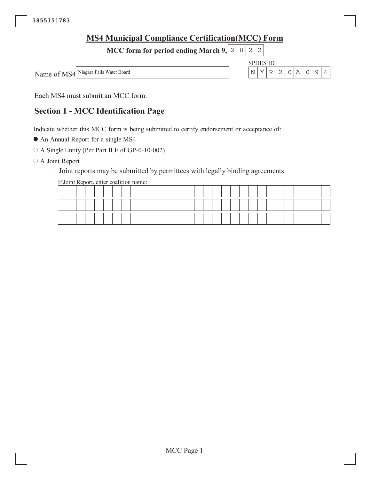| <b>MS4 Municipal Compliance Certification (MCC) Form</b> |  |      |                 |  |       |                |  |
|----------------------------------------------------------|--|------|-----------------|--|-------|----------------|--|
| MCC form for period ending March $9, 2   0   2   2   1$  |  |      |                 |  |       |                |  |
|                                                          |  |      | <b>SPDES ID</b> |  |       |                |  |
| Name of MS4 Niagara Falls Water Board                    |  | ∣N ∣ | Y l             |  | R20A0 | $\overline{9}$ |  |
|                                                          |  |      |                 |  |       |                |  |

Each MS4 must submit an MCC form.

# **Section 1 - MCC Identification Page**

Indicate whether this MCC form is being submitted to certify endorsement or acceptance of:

• An Annual Report for a single MS4

○ A Single Entity (Per Part II.E of GP-0-10-002)

O A Joint Report

Joint reports may be submitted by permittees with legally binding agreements.

If Joint Report, enter coalition name:

|  |  |  |  |  |  |  |  | _______ | __ |  | ______ |  |  | _______ |  |  |
|--|--|--|--|--|--|--|--|---------|----|--|--------|--|--|---------|--|--|
|  |  |  |  |  |  |  |  |         |    |  |        |  |  |         |  |  |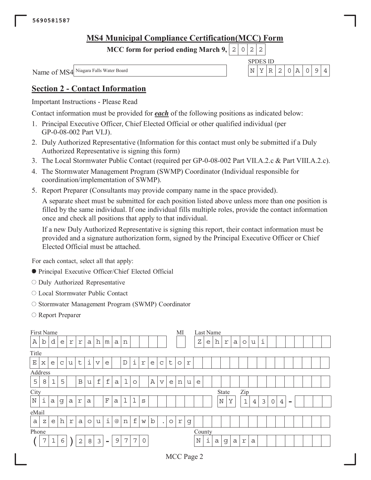MCC form for period ending March 9,  $|2|$  $|0|$  $\sqrt{2}$  $\sqrt{2}$ 

Name of MS4 Niagara Falls Water Board

**SPDES ID**  $\mathbb{N}$  $Y \mid R \mid$  $2|$  $0|A$  $\circ$  $\mathsf{S}$  $\overline{4}$ 

## **Section 2 - Contact Information**

**Important Instructions - Please Read** 

Contact information must be provided for *each* of the following positions as indicated below:

- 1. Principal Executive Officer, Chief Elected Official or other qualified individual (per GP-0-08-002 Part VI.J).
- 2. Duly Authorized Representative (Information for this contact must only be submitted if a Duly Authorized Representative is signing this form)
- 3. The Local Stormwater Public Contact (required per GP-0-08-002 Part VII.A.2.c & Part VIII.A.2.c).
- 4. The Stormwater Management Program (SWMP) Coordinator (Individual responsible for coordination/implementation of SWMP).
- 5. Report Preparer (Consultants may provide company name in the space provided).

A separate sheet must be submitted for each position listed above unless more than one position is filled by the same individual. If one individual fills multiple roles, provide the contact information once and check all positions that apply to that individual.

If a new Duly Authorized Representative is signing this report, their contact information must be provided and a signature authorization form, signed by the Principal Executive Officer or Chief Elected Official must be attached.

For each contact, select all that apply:

- Principal Executive Officer/Chief Elected Official
- O Duly Authorized Representative
- Local Stormwater Public Contact
- O Stormwater Management Program (SWMP) Coordinator
- Report Preparer

| First Name  |   |             |   |   |              |              |                         |                          |              |             |             |                |             |              |         | MI      |            | Last Name |   |             |              |   |              |                |   |             |                |                          |  |  |
|-------------|---|-------------|---|---|--------------|--------------|-------------------------|--------------------------|--------------|-------------|-------------|----------------|-------------|--------------|---------|---------|------------|-----------|---|-------------|--------------|---|--------------|----------------|---|-------------|----------------|--------------------------|--|--|
| Α           | b | d           | e | r | $\Upsilon$   | a            | h                       | m                        | a            | n           |             |                |             |              |         |         |            | Ζ         | e | h           | r            | a | $\circ$      | u              | i |             |                |                          |  |  |
| Title       |   |             |   |   |              |              |                         |                          |              |             |             |                |             |              |         |         |            |           |   |             |              |   |              |                |   |             |                |                          |  |  |
| $\mathbf E$ | X | e           | C | u | t            | $\cdot$<br>i | $\overline{\mathsf{V}}$ | e                        |              | $\mathbf D$ | i           | $\mathbf r$    | e           | $\mathsf{C}$ | t       | $\circ$ | $\Upsilon$ |           |   |             |              |   |              |                |   |             |                |                          |  |  |
| Address     |   |             |   |   |              |              |                         |                          |              |             |             |                |             |              |         |         |            |           |   |             |              |   |              |                |   |             |                |                          |  |  |
| 5           | 8 | $\mathbf 1$ | 5 |   | $\, {\bf B}$ | u            | $\mathbf f$             | $\mathbf f$              | $\mathsf{a}$ | l           | $\circ$     |                | A           | $\mathbf v$  | e       | n       | u          | e         |   |             |              |   |              |                |   |             |                |                          |  |  |
| City        |   |             |   |   |              |              |                         |                          |              |             |             |                |             |              |         |         |            |           |   |             | <b>State</b> |   | Zip          |                |   |             |                |                          |  |  |
| $\mathbb N$ | i | a           | g | a | $\mathbf r$  | $\alpha$     |                         | $\mathbf F$              | $\alpha$     | $\mathbf 1$ | $\mathbf 1$ | S              |             |              |         |         |            |           |   | $\mathbb N$ |              | Υ | $\mathbf{1}$ | $\overline{4}$ | 3 | $\mathbf 0$ | $\overline{4}$ | $\overline{\phantom{0}}$ |  |  |
| eMail       |   |             |   |   |              |              |                         |                          |              |             |             |                |             |              |         |         |            |           |   |             |              |   |              |                |   |             |                |                          |  |  |
| a           | Ζ | e           | h | r | a            | $\circ$      | u                       | i                        | @            | n           | $\mathbf f$ | W              | $\mathbf b$ | $\bullet$    | $\circ$ | r       | g          |           |   |             |              |   |              |                |   |             |                |                          |  |  |
| Phone       |   |             |   |   |              |              |                         |                          |              |             |             |                |             |              |         |         |            | County    |   |             |              |   |              |                |   |             |                |                          |  |  |
|             | 7 | $1\,$       | 6 |   | $\mathbf{2}$ | 8            | 3                       | $\overline{\phantom{0}}$ | 9            | 7           | 7           | $\overline{0}$ |             |              |         |         |            | N         | i | a           | g            | a | $\Upsilon$   | a              |   |             |                |                          |  |  |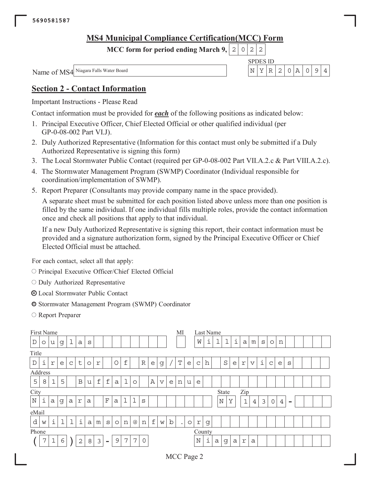MCC form for period ending March 9,  $|2|$  $|0|$  $\sqrt{2}$  $\sqrt{2}$ 

Name of MS4 Niagara Falls Water Board

**SPDES ID**  $\mathbb{N}$  $Y \mid R \mid$  $\vert$  2  $0|A$  $\circ$  $\mathsf{S}$  $\overline{4}$ 

## **Section 2 - Contact Information**

**Important Instructions - Please Read** 

Contact information must be provided for *each* of the following positions as indicated below:

- 1. Principal Executive Officer, Chief Elected Official or other qualified individual (per GP-0-08-002 Part VI.J).
- 2. Duly Authorized Representative (Information for this contact must only be submitted if a Duly Authorized Representative is signing this form)
- 3. The Local Stormwater Public Contact (required per GP-0-08-002 Part VII.A.2.c & Part VIII.A.2.c).
- 4. The Stormwater Management Program (SWMP) Coordinator (Individual responsible for coordination/implementation of SWMP).
- 5. Report Preparer (Consultants may provide company name in the space provided).

A separate sheet must be submitted for each position listed above unless more than one position is filled by the same individual. If one individual fills multiple roles, provide the contact information once and check all positions that apply to that individual.

If a new Duly Authorized Representative is signing this report, their contact information must be provided and a signature authorization form, signed by the Principal Executive Officer or Chief Elected Official must be attached.

For each contact, select all that apply:

- O Principal Executive Officer/Chief Elected Official
- O Duly Authorized Representative
- **O** Local Stormwater Public Contact
- Stormwater Management Program (SWMP) Coordinator
- Report Preparer

| First Name  |         |             |             |              |              |          |             |                          |              |        |                      |                |                |                       |   | MI          |         | Last Name    |   |             |              |   |              |                         |   |             |                |                          |  |  |
|-------------|---------|-------------|-------------|--------------|--------------|----------|-------------|--------------------------|--------------|--------|----------------------|----------------|----------------|-----------------------|---|-------------|---------|--------------|---|-------------|--------------|---|--------------|-------------------------|---|-------------|----------------|--------------------------|--|--|
| $\mathbb D$ | $\circ$ | u           | g           | 1            | a            | S        |             |                          |              |        |                      |                |                |                       |   |             |         | W            | i | п.<br>ᆂ     | ⊥            | i | $\alpha$     | m                       | S | $\circ$     | n              |                          |  |  |
| Title       |         |             |             |              |              |          |             |                          |              |        |                      |                |                |                       |   |             |         |              |   |             |              |   |              |                         |   |             |                |                          |  |  |
| $\mathbb D$ | i       | r           | e           | $\mathsf{C}$ | $\mathsf t$  | $\circ$  | r           |                          | $\circ$      | f      |                      | $\mathbb R$    | e              | g                     |   | $\mathbf T$ | e       | $\mathsf{C}$ | h |             | $\rm S$      | e | r            | $\overline{\mathbf{V}}$ | i | C           | e              | S                        |  |  |
| Address     |         |             |             |              |              |          |             |                          |              |        |                      |                |                |                       |   |             |         |              |   |             |              |   |              |                         |   |             |                |                          |  |  |
| 5           | 8       | $\mathbf 1$ | 5           |              | $\, {\bf B}$ | u        | $\mathbf f$ | $\mathbf f$              | $\mathsf{a}$ | 1      | $\circ$              |                | $\overline{A}$ | $\boldsymbol{\nabla}$ | e | n           | u       | e            |   |             |              |   |              |                         |   |             |                |                          |  |  |
| City        |         |             |             |              |              |          |             |                          |              |        |                      |                |                |                       |   |             |         |              |   |             | <b>State</b> |   | Zip          |                         |   |             |                |                          |  |  |
| $\mathbb N$ | i       | a           | g           | a            | $\mathbf r$  | $\alpha$ |             | $\mathbf F$              | $\alpha$     | ı<br>ᆂ | $\mathbf 1$          | S              |                |                       |   |             |         |              |   | $\mathbb N$ |              | Υ | $\mathbf{1}$ | $\overline{4}$          | 3 | $\mathbf 0$ | $\overline{4}$ | $\overline{\phantom{0}}$ |  |  |
| eMail       |         |             |             |              |              |          |             |                          |              |        |                      |                |                |                       |   |             |         |              |   |             |              |   |              |                         |   |             |                |                          |  |  |
| d           | W       | i           | $\mathbf 1$ | $\mathbf 1$  | i            | a        | m           | S                        | $\circ$      | n      | $^{\textregistered}$ | n              | f              | W                     | b | $\bullet$   | $\circ$ | r            | g |             |              |   |              |                         |   |             |                |                          |  |  |
| Phone       |         |             |             |              |              |          |             |                          |              |        |                      |                |                |                       |   |             |         | County       |   |             |              |   |              |                         |   |             |                |                          |  |  |
|             | 7       | 1           | 6           |              | $\mathbf{2}$ | 8        | 3           | $\overline{\phantom{0}}$ | 9            | 7      | 7                    | $\overline{0}$ |                |                       |   |             |         | N            | i | a           | g            | a | $\Upsilon$   | a                       |   |             |                |                          |  |  |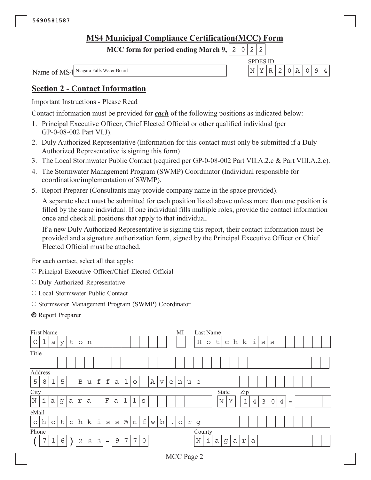MCC form for period ending March 9,  $|2|$  $|0|$  $\sqrt{2}$  $\sqrt{2}$ 

Name of MS4 Niagara Falls Water Board

**SPDES ID**  $\mathbb{N}$  $Y \mid R \mid$  $2|$  $0|A$  $\circ$  $\mathsf{S}$  $\overline{4}$ 

## **Section 2 - Contact Information**

**Important Instructions - Please Read** 

Contact information must be provided for *each* of the following positions as indicated below:

- 1. Principal Executive Officer, Chief Elected Official or other qualified individual (per GP-0-08-002 Part VI.J).
- 2. Duly Authorized Representative (Information for this contact must only be submitted if a Duly Authorized Representative is signing this form)
- 3. The Local Stormwater Public Contact (required per GP-0-08-002 Part VII.A.2.c & Part VIII.A.2.c).
- 4. The Stormwater Management Program (SWMP) Coordinator (Individual responsible for coordination/implementation of SWMP).
- 5. Report Preparer (Consultants may provide company name in the space provided).

A separate sheet must be submitted for each position listed above unless more than one position is filled by the same individual. If one individual fills multiple roles, provide the contact information once and check all positions that apply to that individual.

If a new Duly Authorized Representative is signing this report, their contact information must be provided and a signature authorization form, signed by the Principal Executive Officer or Chief Elected Official must be attached.

For each contact, select all that apply:

- O Principal Executive Officer/Chief Elected Official
- O Duly Authorized Representative
- Local Stormwater Public Contact
- O Stormwater Management Program (SWMP) Coordinator
- **Exercit** Preparer

| First Name    |   |             |         |             |              |          |                |                          |              |             |             |             |   |             |           | MI      |   | Last Name |         |             |       |   |              |                |   |             |                |                 |  |  |
|---------------|---|-------------|---------|-------------|--------------|----------|----------------|--------------------------|--------------|-------------|-------------|-------------|---|-------------|-----------|---------|---|-----------|---------|-------------|-------|---|--------------|----------------|---|-------------|----------------|-----------------|--|--|
| $\mathcal{C}$ | ᆂ | a           | У       | t           | $\circ$      | n        |                |                          |              |             |             |             |   |             |           |         |   | H         | $\circ$ | $\mathsf t$ | C     | h | k            | i              | S | S           |                |                 |  |  |
| Title         |   |             |         |             |              |          |                |                          |              |             |             |             |   |             |           |         |   |           |         |             |       |   |              |                |   |             |                |                 |  |  |
|               |   |             |         |             |              |          |                |                          |              |             |             |             |   |             |           |         |   |           |         |             |       |   |              |                |   |             |                |                 |  |  |
| Address       |   |             |         |             |              |          |                |                          |              |             |             |             |   |             |           |         |   |           |         |             |       |   |              |                |   |             |                |                 |  |  |
| 5             | 8 | $\mathbf 1$ | 5       |             | $\, {\bf B}$ | u        | $\mathbf f$    | $\mathbf f$              | $\mathsf{a}$ | 1           | $\circ$     |             | A | $\mathbf v$ | e         | 'n      | u | e         |         |             |       |   |              |                |   |             |                |                 |  |  |
| City          |   |             |         |             |              |          |                |                          |              |             |             |             |   |             |           |         |   |           |         |             | State |   | Zip          |                |   |             |                |                 |  |  |
| $\mathbb N$   | i | a           | g       | a           | $\mathbf r$  | $\alpha$ |                | $\mathbf F$              | $\alpha$     | $\mathbf 1$ | $\mathbf 1$ | S           |   |             |           |         |   |           |         | $\mathbb N$ | Υ     |   | $\mathbf{1}$ | $\overline{4}$ | 3 | $\mathbf 0$ | $\overline{4}$ | $\qquad \qquad$ |  |  |
| eMail         |   |             |         |             |              |          |                |                          |              |             |             |             |   |             |           |         |   |           |         |             |       |   |              |                |   |             |                |                 |  |  |
| $\mathsf C$   | h | $\circ$     | $\sf t$ | $\mathsf C$ | h            | k        | i              | S                        | S            | $@$         | n           | $\mathbf f$ | W | $\mathbf b$ | $\bullet$ | $\circ$ | r | g         |         |             |       |   |              |                |   |             |                |                 |  |  |
| Phone         |   |             |         |             |              |          |                |                          |              |             |             |             |   |             |           |         |   | County    |         |             |       |   |              |                |   |             |                |                 |  |  |
|               | 7 | $\mathbf 1$ | 6       |             | $\sqrt{2}$   | 8        | $\mathfrak{Z}$ | $\overline{\phantom{0}}$ | 9            | 7           | 7           | $\mathbf 0$ |   |             |           |         |   | N         | i       | a           | g     | a | r            | $\mathsf{a}$   |   |             |                |                 |  |  |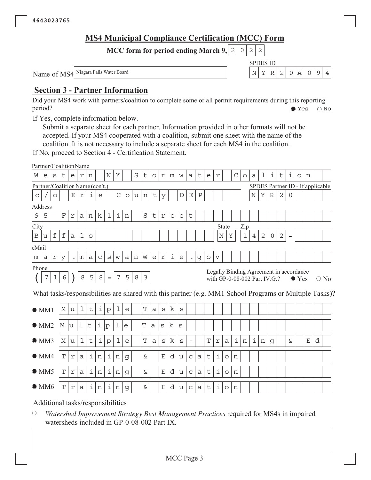**SPDES ID** 

 $Y|R|2|0|A|0|9|4$ 

 $\mathbb N$ 

MCC form for period ending March 9,  $|2|0|2|$  $\overline{c}$ 

Name of MS4 Niagara Falls Water Board

## **Section 3 - Partner Information**

Did your MS4 work with partners/coalition to complete some or all permit requirements during this reporting period?  $\bullet$  Yes  $\bigcirc$  No

If Yes, complete information below.

Submit a separate sheet for each partner. Information provided in other formats will not be accepted. If your MS4 cooperated with a coalition, submit one sheet with the name of the coalition. It is not necessary to include a separate sheet for each MS4 in the coalition.

If No, proceed to Section 4 - Certification Statement.

|              | Partner/CoalitionName           |            |             |             |             |         |             |              |                 |         |   |                |              |             |   |                           |                          |              |             |                         |                              |               |             |                |                |              |                                         |                |               |             |                                  |                                                                                                        |
|--------------|---------------------------------|------------|-------------|-------------|-------------|---------|-------------|--------------|-----------------|---------|---|----------------|--------------|-------------|---|---------------------------|--------------------------|--------------|-------------|-------------------------|------------------------------|---------------|-------------|----------------|----------------|--------------|-----------------------------------------|----------------|---------------|-------------|----------------------------------|--------------------------------------------------------------------------------------------------------|
| W            | e                               | S          | t           | e           | r           | n       |             | N            | Υ               |         | S | t              | $\circ$      | r           | m | W                         | a                        | t            | e           | $\mathbf r$             |                              | $\mathcal{C}$ | $\circ$     | a              | ı              | i            | t                                       | i              | $\circ$       | n           |                                  |                                                                                                        |
|              | Partner/Coalition Name (con't.) |            |             |             |             |         |             |              |                 |         |   |                |              |             |   |                           |                          |              |             |                         |                              |               |             |                |                |              |                                         |                |               |             | SPDES Partner ID - If applicable |                                                                                                        |
| $\mathsf{C}$ |                                 | O          |             | $\mathbf E$ | $\Upsilon$  | i       | e           |              | $\mathcal{C}$   | $\circ$ | u | n              | t            | У           |   | $\mathbb D$               | $\mathbf E$              | $\, {\bf P}$ |             |                         |                              |               |             | N              | Υ              | $\mathbb R$  | $\mathbf{2}$                            | $\overline{0}$ |               |             |                                  |                                                                                                        |
|              | Address                         |            |             |             |             |         |             |              |                 |         |   |                |              |             |   |                           |                          |              |             |                         |                              |               |             |                |                |              |                                         |                |               |             |                                  |                                                                                                        |
| $\mathsf 9$  | 5                               |            | $\mathbf F$ | $\Upsilon$  | a           | n       | k           | ı            | i               | n       |   | $\rm S$        | t            | r           | e | e                         | t                        |              |             |                         |                              |               |             |                |                |              |                                         |                |               |             |                                  |                                                                                                        |
| City         |                                 |            |             |             |             |         |             |              |                 |         |   |                |              |             |   |                           |                          |              |             |                         | State                        |               | Zip         |                |                |              |                                         |                |               |             |                                  |                                                                                                        |
| $\, {\bf B}$ | u                               | f          | $\mathbf f$ | a           | $\mathbf 1$ | $\circ$ |             |              |                 |         |   |                |              |             |   |                           |                          |              |             | Ν                       | Υ                            |               | $\mathbf 1$ | $\overline{4}$ | $\overline{2}$ | $\mathsf{O}$ | $\sqrt{2}$                              |                |               |             |                                  |                                                                                                        |
| eMail        |                                 |            |             |             |             |         |             |              |                 |         |   |                |              |             |   |                           |                          |              |             |                         |                              |               |             |                |                |              |                                         |                |               |             |                                  |                                                                                                        |
| m            | a                               | $\Upsilon$ | У           |             | m           | a       | $\mathsf C$ | $\rm s$      | W               | a       | n | @              | e            | $\Upsilon$  | i | $\mathop{\rm e}\nolimits$ |                          | g            | $\circ$     | $\overline{\mathbf{V}}$ |                              |               |             |                |                |              |                                         |                |               |             |                                  |                                                                                                        |
| Phone        |                                 |            |             |             |             |         |             |              |                 |         |   |                |              |             |   |                           |                          |              |             |                         |                              |               |             |                |                |              | Legally Binding Agreement in accordance |                |               |             |                                  |                                                                                                        |
|              | 7                               | 1          | 6           |             | $\,8\,$     | 5       | $\,8\,$     |              | $7\phantom{.0}$ | 5       | 8 | $\mathfrak{Z}$ |              |             |   |                           |                          |              |             |                         | with GP-0-08-002 Part IV.G.? |               |             |                |                |              |                                         |                | $\bullet$ Yes |             |                                  | $\bigcirc$ No                                                                                          |
|              |                                 |            |             |             |             |         |             |              |                 |         |   |                |              |             |   |                           |                          |              |             |                         |                              |               |             |                |                |              |                                         |                |               |             |                                  | What tasks/responsibilities are shared with this partner (e.g. MM1 School Programs or Multiple Tasks)? |
|              |                                 |            |             |             |             |         |             |              |                 |         |   |                |              |             |   |                           |                          |              |             |                         |                              |               |             |                |                |              |                                         |                |               |             |                                  |                                                                                                        |
|              | OM1                             |            | М           | u           | $\mathbf 1$ | t       | i           | $\mathbf{p}$ | $\mathbf 1$     | e       |   | $\mathbf T$    | $\mathsf{a}$ | S           | k | S                         |                          |              |             |                         |                              |               |             |                |                |              |                                         |                |               |             |                                  |                                                                                                        |
|              | OMM2                            |            | M           | u           | $\mathbf 1$ | $\sf t$ | i           |              | ı               | e       |   | T              | a            | $\mathbf S$ | k | S                         |                          |              |             |                         |                              |               |             |                |                |              |                                         |                |               |             |                                  |                                                                                                        |
|              |                                 |            |             |             |             |         |             | p            |                 |         |   |                |              |             |   |                           |                          |              |             |                         |                              |               |             |                |                |              |                                         |                |               |             |                                  |                                                                                                        |
|              | OMM3                            |            | М           | u           | $\mathbf 1$ | $\sf t$ | i           | ${\rm p}$    | 1               | e       |   | T              | a            | S           | k | S                         | $\overline{\phantom{a}}$ |              | $\mathbf T$ | $\,$ $\,$ $\,$          | a                            | i             | n           | i              | n              | g            |                                         | $\delta$       |               | $\mathbf E$ | d                                |                                                                                                        |
|              | $\bullet$ MM4                   |            | T           | r           | a           | i       | n           | i            | n               | g       |   | &              |              | $\mathbf E$ | d | u                         | $\mathsf{C}$             | a            | t           | i                       | $\circ$                      | n             |             |                |                |              |                                         |                |               |             |                                  |                                                                                                        |
|              |                                 |            |             |             |             |         |             |              |                 |         |   |                |              |             |   |                           |                          |              |             |                         |                              |               |             |                |                |              |                                         |                |               |             |                                  |                                                                                                        |
|              | OMM5                            |            | $\mathbf T$ | $\Upsilon$  | a           | i       | n           | $\dot{1}$    | n               | g       |   | &              |              | Ε           | d | u                         | $\mathsf{C}$             | a            | t           | i                       | $\circ$                      | n             |             |                |                |              |                                         |                |               |             |                                  |                                                                                                        |
|              | $\bullet$ MM6                   |            | $\mathbf T$ | $\Upsilon$  | a           | i       | n           | i            | n               | g       |   | &              |              | $\mathbf E$ | d | u                         | $\mathsf{C}$             | a            | t           | i                       | $\circ$                      | n             |             |                |                |              |                                         |                |               |             |                                  |                                                                                                        |
|              |                                 |            |             |             |             |         |             |              |                 |         |   |                |              |             |   |                           |                          |              |             |                         |                              |               |             |                |                |              |                                         |                |               |             |                                  |                                                                                                        |

Additional tasks/responsibilities

 $\bigcirc$ Watershed Improvement Strategy Best Management Practices required for MS4s in impaired watersheds included in GP-0-08-002 Part IX.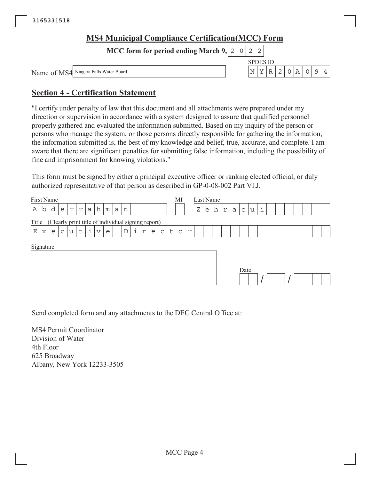| <b>MS4 Municipal Compliance Certification (MCC) Form</b> |  |                 |   |  |        |  |  |
|----------------------------------------------------------|--|-----------------|---|--|--------|--|--|
| MCC form for period ending March 9, $ 2 0 2 2 $          |  |                 |   |  |        |  |  |
|                                                          |  | <b>SPDES ID</b> |   |  |        |  |  |
| Name of MS4 Niagara Falls Water Board                    |  | . N             | Y |  | R20A09 |  |  |

## **Section 4 - Certification Statement**

"I certify under penalty of law that this document and all attachments were prepared under my direction or supervision in accordance with a system designed to assure that qualified personnel properly gathered and evaluated the information submitted. Based on my inquiry of the person or persons who manage the system, or those persons directly responsible for gathering the information, the information submitted is, the best of my knowledge and belief, true, accurate, and complete. I am aware that there are significant penalties for submitting false information, including the possibility of fine and imprisonment for knowing violations."

This form must be signed by either a principal executive officer or ranking elected official, or duly authorized representative of that person as described in GP-0-08-002 Part VI.J.

| First Name |                                                    |   |              |                |    |                 |   |   |             |   |   |   |   |   | MI      |   | Last Name |   |   |   |   |         |   |             |  |  |  |  |
|------------|----------------------------------------------------|---|--------------|----------------|----|-----------------|---|---|-------------|---|---|---|---|---|---------|---|-----------|---|---|---|---|---------|---|-------------|--|--|--|--|
| b<br>Α     | d                                                  | e | $\mathtt{r}$ | $\,$ $\,$ $\,$ | a  | h               | m | a | n           |   |   |   |   |   |         |   | Ζ         | e | h | r | a | $\circ$ | u | $\mathbf 1$ |  |  |  |  |
| Title      | (Clearly print title of individual signing report) |   |              |                |    |                 |   |   |             |   |   |   |   |   |         |   |           |   |   |   |   |         |   |             |  |  |  |  |
| Ε<br>X     | e                                                  | C | u            | t              | i. | $\triangledown$ | e |   | $\mathbb D$ | i | r | e | C | t | $\circ$ | r |           |   |   |   |   |         |   |             |  |  |  |  |
| Signature  |                                                    |   |              |                |    |                 |   |   |             |   |   |   |   |   |         |   |           |   |   |   |   | Date    |   |             |  |  |  |  |

Send completed form and any attachments to the DEC Central Office at:

MS4 Permit Coordinator Division of Water 4th Floor 625 Broadway Albany, New York 12233-3505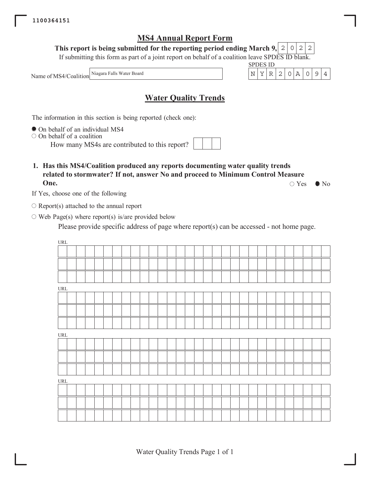This report is being submitted for the reporting period ending March 9, 2  $\mathbf{O}$  $\overline{2}$ 2

If submitting this form as part of a joint report on behalf of a coalition leave SPDES ID blank.

Niagara Falls Water Board Name of MS4/Coalition

## **Water Quality Trends**

The information in this section is being reported (check one):

• On behalf of an individual MS4

 $\circ$  On behalf of a coalition

How many MS4s are contributed to this report?

1. Has this MS4/Coalition produced any reports documenting water quality trends related to stormwater? If not, answer No and proceed to Minimum Control Measure One.  $\circ$  Yes

If Yes, choose one of the following

 $\circ$  Report(s) attached to the annual report

 $\circ$  Web Page(s) where report(s) is/are provided below

Please provide specific address of page where report(s) can be accessed - not home page.

| $\ensuremath{\mathsf{URL}}\xspace$ |  |  |  |  |  |  |  |  |  |  |  |  |  |  |  |
|------------------------------------|--|--|--|--|--|--|--|--|--|--|--|--|--|--|--|
|                                    |  |  |  |  |  |  |  |  |  |  |  |  |  |  |  |
|                                    |  |  |  |  |  |  |  |  |  |  |  |  |  |  |  |
|                                    |  |  |  |  |  |  |  |  |  |  |  |  |  |  |  |
| URL                                |  |  |  |  |  |  |  |  |  |  |  |  |  |  |  |
|                                    |  |  |  |  |  |  |  |  |  |  |  |  |  |  |  |
|                                    |  |  |  |  |  |  |  |  |  |  |  |  |  |  |  |
|                                    |  |  |  |  |  |  |  |  |  |  |  |  |  |  |  |
| URL                                |  |  |  |  |  |  |  |  |  |  |  |  |  |  |  |
|                                    |  |  |  |  |  |  |  |  |  |  |  |  |  |  |  |
|                                    |  |  |  |  |  |  |  |  |  |  |  |  |  |  |  |
|                                    |  |  |  |  |  |  |  |  |  |  |  |  |  |  |  |
| URL                                |  |  |  |  |  |  |  |  |  |  |  |  |  |  |  |
|                                    |  |  |  |  |  |  |  |  |  |  |  |  |  |  |  |
|                                    |  |  |  |  |  |  |  |  |  |  |  |  |  |  |  |
|                                    |  |  |  |  |  |  |  |  |  |  |  |  |  |  |  |

 $\bullet$  No

**SPDES ID**  $\bar{Y}$  $\mathbb R$  $\overline{2}$ 

 $\overline{\rm N}$ 

 $\overline{A}$ 

 $\overline{0}$ 9  $\overline{4}$ 

 $\mathbf 0$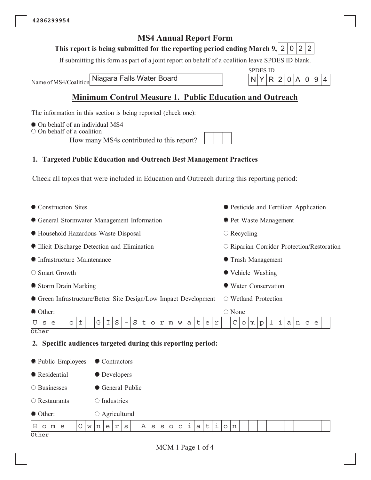## This report is being submitted for the reporting period ending March 9, 2 0 2 2

If submitting this form as part of a joint report on behalf of a coalition leave SPDES ID blank.

Niagara Falls Water Board Name of MS4/Coalition

**SPDES ID** N Y  $R|2|0$  $|A|$  $|0|9|4$ 

## **Minimum Control Measure 1. Public Education and Outreach**

The information in this section is being reported (check one):

- On behalf of an individual MS4
- $\circ$  On behalf of a coalition

How many MS4s contributed to this report?

## 1. Targeted Public Education and Outreach Best Management Practices

Check all topics that were included in Education and Outreach during this reporting period:

| • Pesticide and Fertilizer Application                                     |
|----------------------------------------------------------------------------|
| • Pet Waste Management                                                     |
| $\circ$ Recycling                                                          |
| $\circ$ Riparian Corridor Protection/Restoration                           |
| <b>• Trash Management</b>                                                  |
| • Vehicle Washing                                                          |
| • Water Conservation                                                       |
| $\circ$ Wetland Protection                                                 |
| $\circ$ None                                                               |
| i<br>$\mathsf{C}$<br>1<br>m<br>$\mathbf{p}$<br>a<br>$\circ$<br>n<br>C<br>e |
|                                                                            |
|                                                                            |
|                                                                            |
|                                                                            |
|                                                                            |
|                                                                            |

 $\circ$  Industries  $\bigcirc$  Restaurants

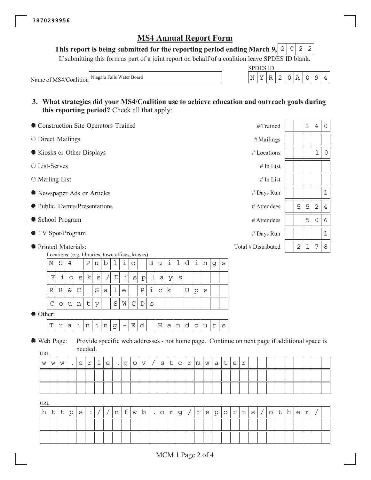This report is being submitted for the reporting period ending March 9, 2  $\mathbf{2}$  $\circ$ 2

If submitting this form as part of a joint report on behalf of a coalition leave SPDES ID blank.

**SPDES ID** 

 $Y|R|$ 

 $\overline{2}$  $\overline{0}$ | A  $\circ$ 9  $\overline{4}$ 

 $\mathbb{N}$ 

Niagara Falls Water Board Name of MS4/Coalition

- 3. What strategies did your MS4/Coalition use to achieve education and outreach goals during this reporting period? Check all that apply:
- Construction Site Operators Trained #Trained  $\mathbf 1$  $\overline{4}$  $\mathsf{O}\xspace$  $\circ$  Direct Mailings #Mailings Kiosks or Other Displays  $1\,$  $\circ$ # Locations ○ List-Serves # In List  $\circ$  Mailing List # In List  $\mathbf 1$ Newspaper Ads or Articles # Days Run lacktriangleright Presentations 5 5  $\overline{2}$  $\overline{4}$ # Attendees School Program 5  $\mathsf O$  $\epsilon$ # Attendees ● TV Spot/Program  $\mathbf 1$ # Days Run  $\overline{2}$  $\mathbf{1}$ 8 ● Printed Materials:  $\sqrt{ }$ Total # Distributed Locations (e.g. libraries, town offices, kiosks)  $\ensuremath{4}$  $u \mid b$  $1\,$ i.  $\mathsf{C}$ i  $\mathbf 1$ i М  $\rm S$  $\, {\bf P}$  $\, {\bf B}$  $\mathbf u$ d  $\, {\rm n}$ g  $\rm S$  $\pm$  $\rm K$ i k  $\mathbb D$  $\mathbf 1$  $\rm S$  $\circ$  $|S|$  $\rm s$  $\mathtt{s}$  $\mathsf{a}$  $\mathbf{p}$ У

Other:

 $\, {\bf B}$  $\&$  $\mathcal{C}$ 

 $\circ$ u  $\,$  n

 $\mathbb R$ 

 $\mathcal{C}$ 

S

У

 $\mathsf{t}$ 

 $\overline{a}$ 

 $\mathbf 1$ 

 $\rm S$  $\rm M$ 

 $\overline{e}$ 

 $i|n$  $i|n$  $\mathbf E$ d  $\mathbb H$ d T  $\mathsf{a}$  $a|n$  $\circ$  $\,$  t  $\rm S$  $\vert$  r | g  $\vert u \vert$  $\overline{a}$ 

 $\mathcal{C}$  $\mathbb D$ 

 $\overline{P}$ 

 $\vec{1}$ 

S

 $\mathbf k$ 

 $\mathsf C$ 

● Web Page: Provide specific web addresses - not home page. Continue on next page if additional space is needed.  $\overline{1}$  m  $\overline{1}$ 

U

 $\mathsf{p}$  $\mathbf S$ 

| UNL |   |   |           |   |                    |   |   |           |   |         |                |   |        |         |                           |                |   |   |   |   |                    |  |  |  |  |  |
|-----|---|---|-----------|---|--------------------|---|---|-----------|---|---------|----------------|---|--------|---------|---------------------------|----------------|---|---|---|---|--------------------|--|--|--|--|--|
| W   | W | W | $\bullet$ | e | $\sim$<br><b>_</b> | ∸ | e | $\bullet$ | g | $\circ$ | $\overline{V}$ | S | ÷<br>◡ | $\circ$ | $\mathcal{L}$<br><b>+</b> | m <sub>l</sub> | W | a | セ | e | $\sim$<br><b>+</b> |  |  |  |  |  |
|     |   |   |           |   |                    |   |   |           |   |         |                |   |        |         |                           |                |   |   |   |   |                    |  |  |  |  |  |
|     |   |   |           |   |                    |   |   |           |   |         |                |   |        |         |                           |                |   |   |   |   |                    |  |  |  |  |  |

**TRI** 

| h | J | $\sim$<br>∼ | $\sim$<br>っ |  | n<br>ᆠᆂ | t. | W | b | $\bullet$ | $\sim$<br>$\smile$ | $\sim$ | $\sim$<br>ٮ | $\sim$<br><b>_</b> | e | $\sim$<br>◡ | $\sim$<br>$\check{ }$ | r<br><b>.</b> | <b>__</b><br>◡ | $\mathbf{\Omega}$<br>ٮ |  | ັ | ᆠᆂ | е | $\sim$ |  |
|---|---|-------------|-------------|--|---------|----|---|---|-----------|--------------------|--------|-------------|--------------------|---|-------------|-----------------------|---------------|----------------|------------------------|--|---|----|---|--------|--|
|   |   |             |             |  |         |    |   |   |           |                    |        |             |                    |   |             |                       |               |                |                        |  |   |    |   |        |  |
|   |   |             |             |  |         |    |   |   |           |                    |        |             |                    |   |             |                       |               |                |                        |  |   |    |   |        |  |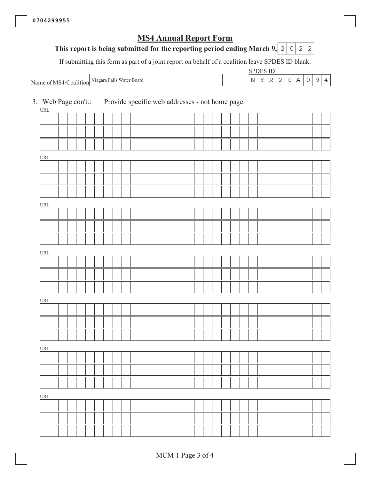## **MS4 Annual Report Form**

# This report is being submitted for the reporting period ending March 9,  $\boxed{2}$   $\boxed{0}$   $\boxed{2}$   $\boxed{2}$

If submitting this form as part of a joint report on behalf of a coalition leave SPDES ID blank.

Niagara Falls Water Board Name of MS4/Coalition

| ۱H . | ÷н |  |  |  |
|------|----|--|--|--|
|      |    |  |  |  |

| 3. Web Page con't.:<br>$\ensuremath{\mathsf{URL}}\xspace$ |  |  |  |  |  |  |  | Provide specific web addresses - not home page. |  |  |  |  |  |  |  |  |
|-----------------------------------------------------------|--|--|--|--|--|--|--|-------------------------------------------------|--|--|--|--|--|--|--|--|
|                                                           |  |  |  |  |  |  |  |                                                 |  |  |  |  |  |  |  |  |
|                                                           |  |  |  |  |  |  |  |                                                 |  |  |  |  |  |  |  |  |
|                                                           |  |  |  |  |  |  |  |                                                 |  |  |  |  |  |  |  |  |
| $\ensuremath{\mathsf{URL}}\xspace$                        |  |  |  |  |  |  |  |                                                 |  |  |  |  |  |  |  |  |
|                                                           |  |  |  |  |  |  |  |                                                 |  |  |  |  |  |  |  |  |
|                                                           |  |  |  |  |  |  |  |                                                 |  |  |  |  |  |  |  |  |
|                                                           |  |  |  |  |  |  |  |                                                 |  |  |  |  |  |  |  |  |
| $\ensuremath{\mathsf{URL}}\xspace$                        |  |  |  |  |  |  |  |                                                 |  |  |  |  |  |  |  |  |
|                                                           |  |  |  |  |  |  |  |                                                 |  |  |  |  |  |  |  |  |
|                                                           |  |  |  |  |  |  |  |                                                 |  |  |  |  |  |  |  |  |
|                                                           |  |  |  |  |  |  |  |                                                 |  |  |  |  |  |  |  |  |
| $\ensuremath{\mathsf{URL}}\xspace$                        |  |  |  |  |  |  |  |                                                 |  |  |  |  |  |  |  |  |
|                                                           |  |  |  |  |  |  |  |                                                 |  |  |  |  |  |  |  |  |
|                                                           |  |  |  |  |  |  |  |                                                 |  |  |  |  |  |  |  |  |
|                                                           |  |  |  |  |  |  |  |                                                 |  |  |  |  |  |  |  |  |
| $\ensuremath{\mathsf{URL}}\xspace$                        |  |  |  |  |  |  |  |                                                 |  |  |  |  |  |  |  |  |
|                                                           |  |  |  |  |  |  |  |                                                 |  |  |  |  |  |  |  |  |
|                                                           |  |  |  |  |  |  |  |                                                 |  |  |  |  |  |  |  |  |
|                                                           |  |  |  |  |  |  |  |                                                 |  |  |  |  |  |  |  |  |
| $\ensuremath{\mathsf{URL}}\xspace$                        |  |  |  |  |  |  |  |                                                 |  |  |  |  |  |  |  |  |
|                                                           |  |  |  |  |  |  |  |                                                 |  |  |  |  |  |  |  |  |
|                                                           |  |  |  |  |  |  |  |                                                 |  |  |  |  |  |  |  |  |
|                                                           |  |  |  |  |  |  |  |                                                 |  |  |  |  |  |  |  |  |
| $\ensuremath{\mathsf{URL}}\xspace$                        |  |  |  |  |  |  |  |                                                 |  |  |  |  |  |  |  |  |
|                                                           |  |  |  |  |  |  |  |                                                 |  |  |  |  |  |  |  |  |
|                                                           |  |  |  |  |  |  |  |                                                 |  |  |  |  |  |  |  |  |
|                                                           |  |  |  |  |  |  |  |                                                 |  |  |  |  |  |  |  |  |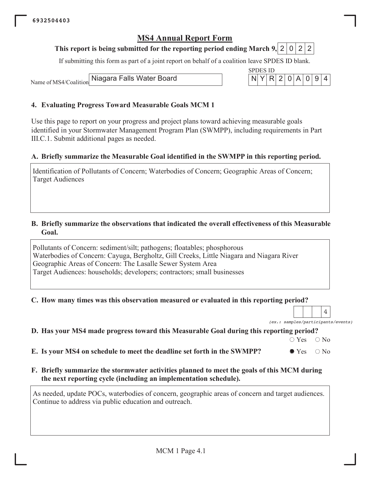## This report is being submitted for the reporting period ending March 9, 2 0 2 2

If submitting this form as part of a joint report on behalf of a coalition leave SPDES ID blank.

Niagara Falls Water Board Name of MS4/Coalition



### 4. Evaluating Progress Toward Measurable Goals MCM 1

Use this page to report on your progress and project plans toward achieving measurable goals identified in your Stormwater Management Program Plan (SWMPP), including requirements in Part III.C.1. Submit additional pages as needed.

### A. Briefly summarize the Measurable Goal identified in the SWMPP in this reporting period.

Identification of Pollutants of Concern; Waterbodies of Concern; Geographic Areas of Concern; **Target Audiences** 

#### B. Briefly summarize the observations that indicated the overall effectiveness of this Measurable Goal.

Pollutants of Concern: sediment/silt; pathogens; floatables; phosphorous Waterbodies of Concern: Cayuga, Bergholtz, Gill Creeks, Little Niagara and Niagara River Geographic Areas of Concern: The Lasalle Sewer System Area Target Audiences: households; developers; contractors; small businesses

#### C. How many times was this observation measured or evaluated in this reporting period?

 $\overline{4}$ (ex.: samples/participants/events)

## D. Has your MS4 made progress toward this Measurable Goal during this reporting period?

 $\circ$  Yes  $\bigcirc$  No

E. Is your MS4 on schedule to meet the deadline set forth in the SWMPP?  $\bullet$  Yes  $\bigcirc$  No

### F. Briefly summarize the stormwater activities planned to meet the goals of this MCM during the next reporting cycle (including an implementation schedule).

As needed, update POCs, waterbodies of concern, geographic areas of concern and target audiences. Continue to address via public education and outreach.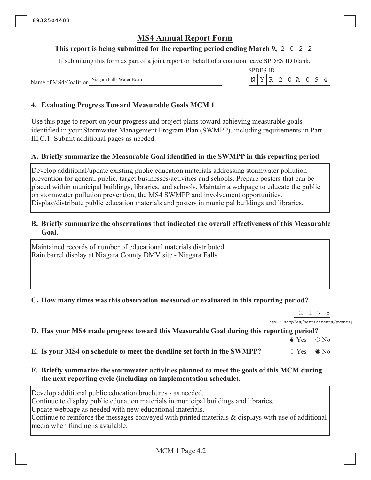#### This report is being submitted for the reporting period ending March 9, 2  $\circ$ 2 2

If submitting this form as part of a joint report on behalf of a coalition leave SPDES ID blank.

**SPDES ID** 

N Υ  $\mathbb R$  $\overline{2}$  $\mathsf{O}$ Α  $\mathsf O$  $\mathcal{G}$   $\overline{4}$ 

Niagara Falls Water Board Name of MS4/Coalition

### 4. Evaluating Progress Toward Measurable Goals MCM 1

Use this page to report on your progress and project plans toward achieving measurable goals identified in your Stormwater Management Program Plan (SWMPP), including requirements in Part III.C.1. Submit additional pages as needed.

### A. Briefly summarize the Measurable Goal identified in the SWMPP in this reporting period.

Develop additional/update existing public education materials addressing stormwater pollution prevention for general public, target businesses/activities and schools. Prepare posters that can be placed within municipal buildings, libraries, and schools. Maintain a webpage to educate the public on stormwater pollution prevention, the MS4 SWMPP and involvement opportunities. Display/distribute public education materials and posters in municipal buildings and libraries.

#### B. Briefly summarize the observations that indicated the overall effectiveness of this Measurable Goal.

Maintained records of number of educational materials distributed. Rain barrel display at Niagara County DMV site - Niagara Falls.

## C. How many times was this observation measured or evaluated in this reporting period?

8  $\overline{2}$  $\mathbf{1}$ 7 (ex.: samples/participants/events)

 $\bigcirc$  No

## D. Has your MS4 made progress toward this Measurable Goal during this reporting period?

 $\bullet$  Yes E. Is your MS4 on schedule to meet the deadline set forth in the SWMPP?  $\circ$  Yes  $\bullet$  No

F. Briefly summarize the stormwater activities planned to meet the goals of this MCM during the next reporting cycle (including an implementation schedule).

Develop additional public education brochures - as needed.

Continue to display public education materials in municipal buildings and libraries.

Update webpage as needed with new educational materials.

Continue to reinforce the messages conveyed with printed materials & displays with use of additional media when funding is available.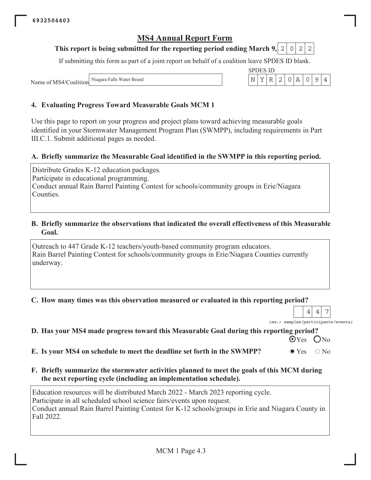#### This report is being submitted for the reporting period ending March 9, 2  $\circ$ 2 2

If submitting this form as part of a joint report on behalf of a coalition leave SPDES ID blank.

**SPDES ID** Y  $\mathbb R$ 2  $\mathsf{O}$  $\overline{A}$  $\mathsf O$ 9

 $\mathbf N$ 

Niagara Falls Water Board Name of MS4/Coalition

### 4. Evaluating Progress Toward Measurable Goals MCM 1

Use this page to report on your progress and project plans toward achieving measurable goals identified in your Stormwater Management Program Plan (SWMPP), including requirements in Part III.C.1. Submit additional pages as needed.

### A. Briefly summarize the Measurable Goal identified in the SWMPP in this reporting period.

Distribute Grades K-12 education packages. Participate in educational programming. Conduct annual Rain Barrel Painting Contest for schools/community groups in Erie/Niagara Counties.

#### B. Briefly summarize the observations that indicated the overall effectiveness of this Measurable Goal.

Outreach to 447 Grade K-12 teachers/youth-based community program educators. Rain Barrel Painting Contest for schools/community groups in Erie/Niagara Counties currently underway.

#### C. How many times was this observation measured or evaluated in this reporting period?

 $\overline{7}$ 4 4

 $\overline{4}$ 

(ex.: samples/participants/events)

|  |  |  | D. Has your MS4 made progress toward this Measurable Goal during this reporting period? |  |  |  |
|--|--|--|-----------------------------------------------------------------------------------------|--|--|--|
|  |  |  |                                                                                         |  |  |  |

 $\odot$  Yes  $ON<sub>0</sub>$ 

E. Is your MS4 on schedule to meet the deadline set forth in the SWMPP?  $\bullet$  Yes  $\bigcirc$  No

F. Briefly summarize the stormwater activities planned to meet the goals of this MCM during the next reporting cycle (including an implementation schedule).

Education resources will be distributed March 2022 - March 2023 reporting cycle. Participate in all scheduled school science fairs/events upon request. Conduct annual Rain Barrel Painting Contest for K-12 schools/groups in Erie and Niagara County in Fall 2022.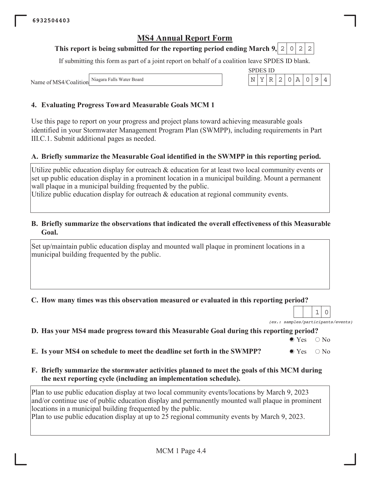#### This report is being submitted for the reporting period ending March 9, 2  $\circ$ 2  $\mathbf{2}$

If submitting this form as part of a joint report on behalf of a coalition leave SPDES ID blank.

Niagara Falls Water Board Name of MS4/Coalition

### 4. Evaluating Progress Toward Measurable Goals MCM 1

Use this page to report on your progress and project plans toward achieving measurable goals identified in your Stormwater Management Program Plan (SWMPP), including requirements in Part III.C.1. Submit additional pages as needed.

#### A. Briefly summarize the Measurable Goal identified in the SWMPP in this reporting period.

Utilize public education display for outreach & education for at least two local community events or set up public education display in a prominent location in a municipal building. Mount a permanent wall plaque in a municipal building frequented by the public.

Utilize public education display for outreach  $\&$  education at regional community events.

#### B. Briefly summarize the observations that indicated the overall effectiveness of this Measurable Goal.

Set up/maintain public education display and mounted wall plaque in prominent locations in a municipal building frequented by the public.

#### C. How many times was this observation measured or evaluated in this reporting period?

 $(ex.:$ s/events)

## D. Has your MS4 made progress toward this Measurable Goal during this reporting period?

 $\bullet$  Yes  $\bigcirc$  No

| E. Is your MS4 on schedule to meet the deadline set forth in the SWMPP? | $\bullet$ Yes $\circ$ No |  |
|-------------------------------------------------------------------------|--------------------------|--|
|-------------------------------------------------------------------------|--------------------------|--|

F. Briefly summarize the stormwater activities planned to meet the goals of this MCM during the next reporting cycle (including an implementation schedule).

Plan to use public education display at two local community events/locations by March 9, 2023 and/or continue use of public education display and permanently mounted wall plaque in prominent locations in a municipal building frequented by the public. Plan to use public education display at up to 25 regional community events by March 9, 2023.



| amples/participants |  |  |
|---------------------|--|--|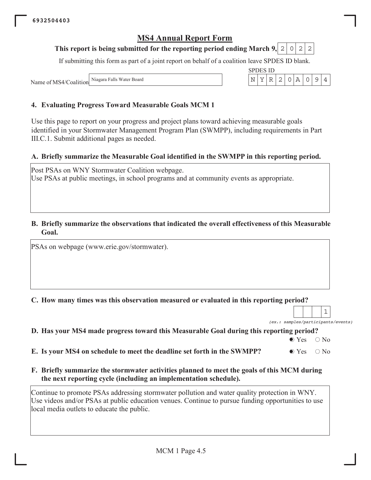#### This report is being submitted for the reporting period ending March 9, 2 0 2 2

If submitting this form as part of a joint report on behalf of a coalition leave SPDES ID blank.

Niagara Falls Water Board Name of MS4/Coalition

## 4. Evaluating Progress Toward Measurable Goals MCM 1

Use this page to report on your progress and project plans toward achieving measurable goals identified in your Stormwater Management Program Plan (SWMPP), including requirements in Part III.C.1. Submit additional pages as needed.

### A. Briefly summarize the Measurable Goal identified in the SWMPP in this reporting period.

Post PSAs on WNY Stormwater Coalition webpage. Use PSAs at public meetings, in school programs and at community events as appropriate.

#### B. Briefly summarize the observations that indicated the overall effectiveness of this Measurable Goal.

PSAs on webpage (www.erie.gov/stormwater).

C. How many times was this observation measured or evaluated in this reporting period?

(ex.: samples/participants/events)

 $\mathbf 1$ 

## D. Has your MS4 made progress toward this Measurable Goal during this reporting period?

 $\bullet$  Yes  $\bigcirc$  No

| E. Is your MS4 on schedule to meet the deadline set forth in the SWMPP? | $\bullet$ Yes $\circ$ No |  |
|-------------------------------------------------------------------------|--------------------------|--|
|-------------------------------------------------------------------------|--------------------------|--|

F. Briefly summarize the stormwater activities planned to meet the goals of this MCM during the next reporting cycle (including an implementation schedule).

Continue to promote PSAs addressing stormwater pollution and water quality protection in WNY. Use videos and/or PSAs at public education venues. Continue to pursue funding opportunities to use local media outlets to educate the public.



|  | SPDES |  |
|--|-------|--|
|  |       |  |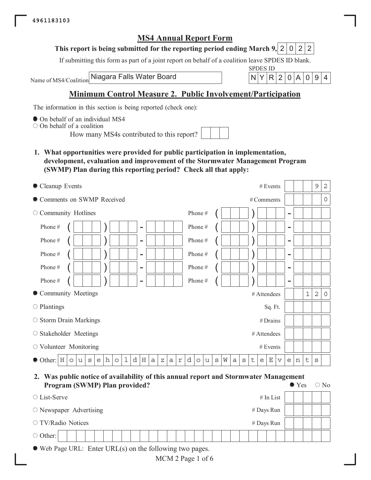

#### This report is being submitted for the reporting period ending March 9, 2 0 2  $\overline{2}$

If submitting this form as part of a joint report on behalf of a coalition leave SPDES ID blank.

Niagara Falls Water Board Name of MS4/Coalition



 $\bigcirc$  No

## **Minimum Control Measure 2. Public Involvement/Participation**

The information in this section is being reported (check one):

• On behalf of an individual MS4

 $\circ$  On behalf of a coalition

How many MS4s contributed to this report?

1. What opportunities were provided for public participation in implementation, development, evaluation and improvement of the Stormwater Management Program (SWMP) Plan during this reporting period? Check all that apply:

| • Cleanup Events                                                                                                     | # Events                                                                             |                              |   |       | $\mathsf 9$    | 2                   |
|----------------------------------------------------------------------------------------------------------------------|--------------------------------------------------------------------------------------|------------------------------|---|-------|----------------|---------------------|
| • Comments on SWMP Received                                                                                          | # Comments                                                                           |                              |   |       |                | $\mathsf{O}\xspace$ |
| $\circ$ Community Hotlines                                                                                           | Phone#                                                                               | $\overline{\phantom{0}}$     |   |       |                |                     |
| Phone#<br>$\overline{\phantom{0}}$                                                                                   | Phone#                                                                               | $\overline{\phantom{a}}$     |   |       |                |                     |
| Phone#<br>$\overline{\phantom{0}}$                                                                                   | Phone#                                                                               | $\overline{\phantom{0}}$     |   |       |                |                     |
| Phone#<br>$\overline{\phantom{0}}$                                                                                   | Phone#                                                                               | $\overline{\phantom{a}}$     |   |       |                |                     |
| Phone#<br>$\overline{\phantom{0}}$                                                                                   | Phone#                                                                               | $\overline{\phantom{a}}$     |   |       |                |                     |
| Phone#<br>$\overline{\phantom{0}}$                                                                                   | Phone#                                                                               | $\qquad \qquad \blacksquare$ |   |       |                |                     |
| • Community Meetings                                                                                                 | # Attendees                                                                          |                              |   | $1\,$ | $\overline{2}$ | 0                   |
| $\circ$ Plantings                                                                                                    | Sq. Ft.                                                                              |                              |   |       |                |                     |
| ○ Storm Drain Markings                                                                                               | #Drains                                                                              |                              |   |       |                |                     |
| $\circ$ Stakeholder Meetings                                                                                         | # Attendees                                                                          |                              |   |       |                |                     |
| $\circ$ Volunteer Monitoring                                                                                         | # Events                                                                             |                              |   |       |                |                     |
| h<br>d<br>$\mathbf 1$<br>$\rm H$<br>ΙH<br>• Other:<br>a<br>e<br>$\circ$<br>a<br>$\Upsilon$<br>u<br>S<br>Ζ<br>$\circ$ | d<br>W<br>t<br>Ε<br>$\mathtt{s}$<br>$\rm s$<br>a<br>u<br>e<br>$\mathbf v$<br>$\circ$ | e                            | n | t     | S              |                     |

2. Was public notice of availability of this annual report and Stormwater Management **Program (SWMP) Plan provided?**  $\bullet$  Yes

|                                  | $\circ$ |  |  |  | $\overline{\phantom{a}}$ |  |  |  |  |  |  |  |  |  |  |  |  |             |  |  |  |
|----------------------------------|---------|--|--|--|--------------------------|--|--|--|--|--|--|--|--|--|--|--|--|-------------|--|--|--|
| $\circ$ List-Serve               |         |  |  |  |                          |  |  |  |  |  |  |  |  |  |  |  |  | $#$ In List |  |  |  |
| $\circ$ Newspaper Advertising    |         |  |  |  |                          |  |  |  |  |  |  |  |  |  |  |  |  | # Days Run  |  |  |  |
| ○ TV/Radio Notices<br># Days Run |         |  |  |  |                          |  |  |  |  |  |  |  |  |  |  |  |  |             |  |  |  |
| $\circ$ Other:                   |         |  |  |  |                          |  |  |  |  |  |  |  |  |  |  |  |  |             |  |  |  |
|                                  |         |  |  |  |                          |  |  |  |  |  |  |  |  |  |  |  |  |             |  |  |  |

 $\bullet$  Web Page URL: Enter URL(s) on the following two pages.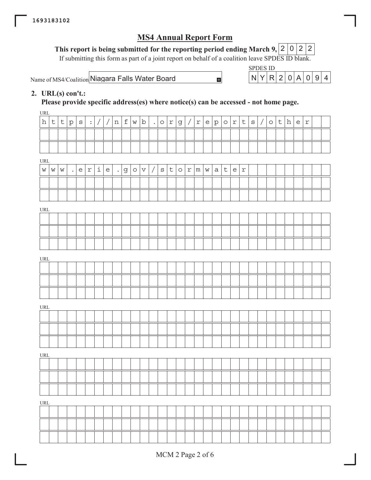This report is being submitted for the reporting period ending March 9, 2 2 2 2

If submitting this form as part of a joint report on behalf of a coalition leave SPDES  $\overline{ID}$  blank.

<code>Name</code> of <code>MS4/Coalition</code> <code>Niagara Falls Water Board</code>  $\blacksquare$   $\blacksquare$   $\blacksquare$   $\blacksquare$   $\blacksquare$   $\blacksquare$   $\blacksquare$   $\blacksquare$   $\blacksquare$   $\blacksquare$   $\blacksquare$   $\blacksquare$   $\blacksquare$   $\blacksquare$   $\blacksquare$   $\blacksquare$   $\blacksquare$   $\blacksquare$   $\blacksquare$   $\blacksquare$   $\blacksquare$   $\blacksquare$   $\blacksquare$   $\blacksquare$ 

SPDES ID

### 2. URL(s) con't.:

Please provide specific address(es) where notice(s) can be accessed - not home page.

URL URL URL URL URL URL URL  $\mathtt{h}\mathtt{|t|t|p|s|}$  :  $\mathtt{|}/\mathtt{|}/\mathtt{|n|f|w|b|}$  .  $\mathtt{|o|r|g|}/\mathtt{|r|e|p|o|r|t|s|}/|\mathtt{o|t|h|e|r}$  $w \hspace{0.25mm} | \hspace{0.25mm} w \hspace{0.25mm} | \hspace{0.25mm} w \hspace{0.25mm} | \hspace{0.25mm} | \hspace{0.25mm} e \hspace{0.25mm} | \hspace{0.25mm} \text{} \mathtt{i} \hspace{0.25mm} | \hspace{0.25mm} e \hspace{0.25mm} | \hspace{0.25mm} \text{} \mathtt{j} \hspace{0.25mm} | \hspace{0.25mm} \text{} \mathtt{o} \hspace{0.25mm} | \hspace{0.25mm} x \hspace{0.25mm} |$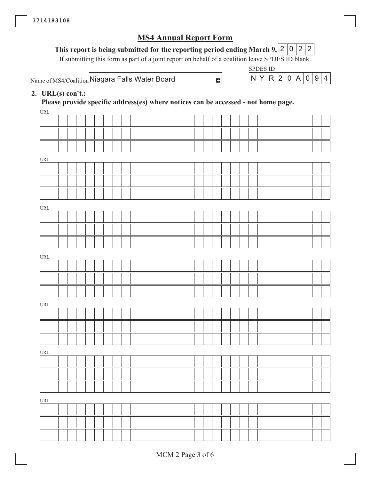# This report is being submitted for the reporting period ending March 9, 2 0 2 2

If submitting this form as part of a joint report on behalf of a coalition leave SPDES ID blank.

 $\blacksquare$ 

Name of MS4/Coalition Niagara Falls Water Board

**SPDES ID**  $Y|R|2|$  $0$   $A$  $0|9|4$ N

## 2. URL $(s)$  con't.:

Please provide specific address(es) where notices can be accessed - not home page.

| URL                              |  |  |  |  |  |  |  |  |  |  |  |  |  |  |  |  |
|----------------------------------|--|--|--|--|--|--|--|--|--|--|--|--|--|--|--|--|
|                                  |  |  |  |  |  |  |  |  |  |  |  |  |  |  |  |  |
|                                  |  |  |  |  |  |  |  |  |  |  |  |  |  |  |  |  |
|                                  |  |  |  |  |  |  |  |  |  |  |  |  |  |  |  |  |
| $\ensuremath{\text{URL}}\xspace$ |  |  |  |  |  |  |  |  |  |  |  |  |  |  |  |  |
|                                  |  |  |  |  |  |  |  |  |  |  |  |  |  |  |  |  |
|                                  |  |  |  |  |  |  |  |  |  |  |  |  |  |  |  |  |
|                                  |  |  |  |  |  |  |  |  |  |  |  |  |  |  |  |  |
|                                  |  |  |  |  |  |  |  |  |  |  |  |  |  |  |  |  |
| $\ensuremath{\text{URL}}\xspace$ |  |  |  |  |  |  |  |  |  |  |  |  |  |  |  |  |
|                                  |  |  |  |  |  |  |  |  |  |  |  |  |  |  |  |  |
|                                  |  |  |  |  |  |  |  |  |  |  |  |  |  |  |  |  |
|                                  |  |  |  |  |  |  |  |  |  |  |  |  |  |  |  |  |
| $\underline{\text{URL}}$         |  |  |  |  |  |  |  |  |  |  |  |  |  |  |  |  |
|                                  |  |  |  |  |  |  |  |  |  |  |  |  |  |  |  |  |
|                                  |  |  |  |  |  |  |  |  |  |  |  |  |  |  |  |  |
|                                  |  |  |  |  |  |  |  |  |  |  |  |  |  |  |  |  |
|                                  |  |  |  |  |  |  |  |  |  |  |  |  |  |  |  |  |
| $\ensuremath{\text{URL}}\xspace$ |  |  |  |  |  |  |  |  |  |  |  |  |  |  |  |  |
|                                  |  |  |  |  |  |  |  |  |  |  |  |  |  |  |  |  |
|                                  |  |  |  |  |  |  |  |  |  |  |  |  |  |  |  |  |
|                                  |  |  |  |  |  |  |  |  |  |  |  |  |  |  |  |  |
| $\ensuremath{\text{URL}}\xspace$ |  |  |  |  |  |  |  |  |  |  |  |  |  |  |  |  |
|                                  |  |  |  |  |  |  |  |  |  |  |  |  |  |  |  |  |
|                                  |  |  |  |  |  |  |  |  |  |  |  |  |  |  |  |  |
|                                  |  |  |  |  |  |  |  |  |  |  |  |  |  |  |  |  |
|                                  |  |  |  |  |  |  |  |  |  |  |  |  |  |  |  |  |
| $\underline{\text{URL}}$         |  |  |  |  |  |  |  |  |  |  |  |  |  |  |  |  |
|                                  |  |  |  |  |  |  |  |  |  |  |  |  |  |  |  |  |
|                                  |  |  |  |  |  |  |  |  |  |  |  |  |  |  |  |  |
|                                  |  |  |  |  |  |  |  |  |  |  |  |  |  |  |  |  |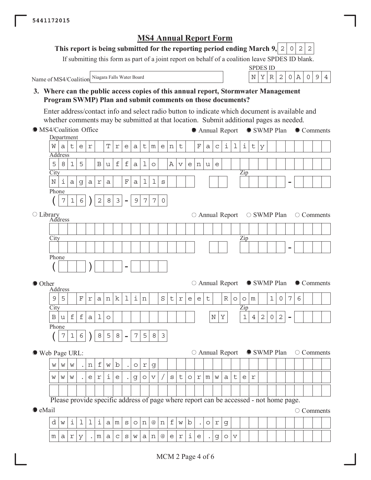#### This report is being submitted for the reporting period ending March 9, 2  $\circ$ 2 2

If submitting this form as part of a joint report on behalf of a coalition leave SPDES ID blank.

Name of MS4/Coalition Niagara Falls Water Board

**SPDES ID**  $Y|R|2$  $0|A$  $9$  $\overline{\rm N}$  $\overline{O}$  $\overline{4}$ 

3. Where can the public access copies of this annual report, Stormwater Management Program SWMP) Plan and submit comments on those documents?

Enter address/contact info and select radio button to indicate which document is available and whether comments may be submitted at that location. Submit additional pages as needed.

• MS4/Coalition Office • Annual Report SWMP Plan • Comments Department T  $\dot{\mathbbm{1}}$ W  $\sf t$ e  $\mathbf{r}$  $\Upsilon$  $\epsilon$  $\mathsf t$  $m$  $\overline{e}$  $\mathbf n$  $\mathsf t$  $\mathbf F$  $\mathsf{a}$  $\mathsf C$ i  $\mathbf 1$  $\mathsf t$  $\mathsf{a}$  $\mathsf{a}$ y Address 5 8  $\mathbf{1}$ 5  $\overline{B}$  $\mathbf f$  $\mathbf f$  $\mathbf{I}$  $\overline{A}$  $\circ$ u  $\overline{a}$  $\overline{\mathbf{V}}$  $\epsilon$  $n$ u e City Zip  $\mathbf N$ i  $\overline{\mathrm{F}}$  $\mathbf 1$  $\mathbf 1$  $\mathsf{a}$ g  $\mathsf{a}$  $\Upsilon$  $\mathsf{a}$  $\mathsf{a}$ S Phone 7  $\mathbf{1}$ 6  $\overline{2}$ 8 3 9 7  $\overline{7}$  $\mathsf{O}$ O Library<br>Address  $\circ$  Annual Report ○ SWMP Plan  $\circ$  Comments City Zip Phone ○ Annual Report ● SWMP Plan  $\bullet$  Comments ● Other Address  $\mathbf{1}$  $\dot{\mathbb{1}}$ S  $\overline{7}$  $\overline{9}$ 5  $\overline{\mathrm{F}}$  $\mathbf k$  $\mathsf{t}$  $\mathsf{t}$  $\mathbb{R}$  $\mathbf{1}$  $\overline{0}$ 6  $\mathbf r$  $\mathsf{a}$  $\mathbf n$ n  $\mathbf{r}$  $\epsilon$  $\epsilon$  $\circ$  $\circ$ | m City Zip  $\overline{B}$  $\acute{\text{f}}$  $\mathbf{1}$  $\overline{2}$  $\mathbf f$  $\overline{1}$  $\rm N$  $\rm \overline{Y}$  $\overline{4}$  $\overline{2}$  $\overline{0}$ u  $\overline{a}$  $\circ$ Phone 7 8 5 8 5 8  $\mathbf{1}$ 6 7  $\mathfrak{Z}$ ● SWMP Plan  $\circ$  Comments  $\circ$  Annual Report ● Web Page URL: f b W W W n W  $\circ$  $\Upsilon$ g i  $\mathsf{t}$  $\mathsf{e}% _{t}\!\left( \mathcal{A}_{t}\right)$  $\Upsilon$  $\epsilon$ g  $\circ$  $\boldsymbol{\nabla}$  $\sqrt{2}$  $\rm S$  $\circ$  $\Upsilon$  ${\mathfrak m}$  $\mathbf W$  $\mathsf a$  $\mathsf t$  $\epsilon$  $\mathfrak{L}$ W  $\mathbf W$ W Please provide specific address of page where report can be accessed - not home page.  $\bullet$  eMail  $\circ$  Comments d i ı ı i  $\mathsf{a}$  ${\mathfrak m}$  $\rm S$  $\circ$  $\, {\rm n}$  $@$  $\, {\rm n}$ f W b  $\circ$  $\Upsilon$ g W  $\dot{\mathtt{l}}$  ${\mathfrak m}$  $\mathsf{a}$  $\Upsilon$ y  $\mathfrak m$  $\overline{a}$  $\mathsf{C}$ S W  $\overline{a}$  $\,$  n  $@$  $\epsilon$  $\Gamma$  $\epsilon$ g  $\circ$  $\overline{\mathbf{v}}$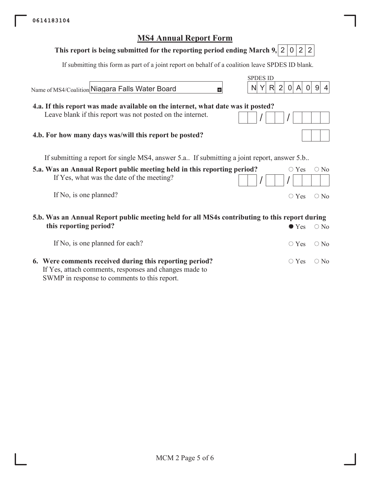| <b>MS4 Annual Report Form</b>                                                                                                            |               |
|------------------------------------------------------------------------------------------------------------------------------------------|---------------|
| 2<br>This report is being submitted for the reporting period ending March 9, 2<br>$\overline{0}$                                         | 2             |
| If submitting this form as part of a joint report on behalf of a coalition leave SPDES ID blank.                                         |               |
| <b>SPDES ID</b><br>$\overline{0}$<br>R<br>2<br> A <br>$\overline{0}$<br>Name of MS4/Coalition Niagara Falls Water Board<br>N<br>H        | 9             |
| 4.a. If this report was made available on the internet, what date was it posted?                                                         |               |
| Leave blank if this report was not posted on the internet.                                                                               |               |
| 4.b. For how many days was/will this report be posted?                                                                                   |               |
| If submitting a report for single MS4, answer 5.a If submitting a joint report, answer 5.b                                               |               |
| 5.a. Was an Annual Report public meeting held in this reporting period?<br>$\circ$ Yes<br>If Yes, what was the date of the meeting?      | $\bigcirc$ No |
| If No, is one planned?<br>$\circ$ Yes                                                                                                    | $\bigcirc$ No |
| 5.b. Was an Annual Report public meeting held for all MS4s contributing to this report during<br>this reporting period?<br>$\bullet$ Yes | $\bigcirc$ No |
| If No, is one planned for each?<br>$\circ$ Yes                                                                                           | $\bigcirc$ No |

6. Were comments received during this reporting period?  $\circ$  Yes  $\circ$  No If Yes, attach comments, responses and changes made to SWMP in response to comments to this report.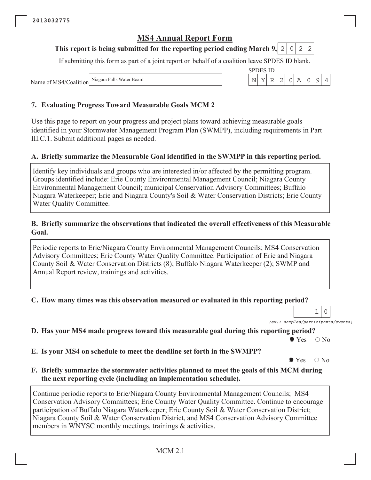#### This report is being submitted for the reporting period ending March 9, 2  $\circ$ 2 2

If submitting this form as part of a joint report on behalf of a coalition leave SPDES ID blank.

**SPDES ID** 

 $\mathbf N$ Υ  $\ensuremath{\mathbb{R}}$  $\left|2\right|$  $\circ$  $\, {\bf A}$   $\overline{9}$ 

 $\overline{4}$ 

 $\circ$ 

Niagara Falls Water Board Name of MS4/Coalition

## 7. Evaluating Progress Toward Measurable Goals MCM 2

Use this page to report on your progress and project plans toward achieving measurable goals identified in your Stormwater Management Program Plan (SWMPP), including requirements in Part III.C.1. Submit additional pages as needed.

## A. Briefly summarize the Measurable Goal identified in the SWMPP in this reporting period.

Identify key individuals and groups who are interested in/or affected by the permitting program. Groups identified include: Erie County Environmental Management Council; Niagara County Environmental Management Council; municipal Conservation Advisory Committees; Buffalo Niagara Waterkeeper; Erie and Niagara County's Soil & Water Conservation Districts; Erie County Water Quality Committee.

#### B. Briefly summarize the observations that indicated the overall effectiveness of this Measurable Goal.

Periodic reports to Erie/Niagara County Environmental Management Councils; MS4 Conservation Advisory Committees; Erie County Water Quality Committee. Participation of Erie and Niagara County Soil & Water Conservation Districts (8); Buffalo Niagara Waterkeeper (2); SWMP and Annual Report review, trainings and activities.

C. How many times was this observation measured or evaluated in this reporting period?

1  $\circ$ (ex.: samples/participants/events)

D. Has your MS4 made progress toward this measurable goal during this reporting period?

 $\bullet$  Yes  $\bigcirc$  No

E. Is your MS4 on schedule to meet the deadline set forth in the SWMPP?

 $\bullet$  Yes  $\bigcirc$  No

F. Briefly summarize the stormwater activities planned to meet the goals of this MCM during the next reporting cycle (including an implementation schedule).

Continue periodic reports to Erie/Niagara County Environmental Management Councils; MS4 Conservation Advisory Committees; Erie County Water Quality Committee. Continue to encourage participation of Buffalo Niagara Waterkeeper; Erie County Soil & Water Conservation District; Niagara County Soil & Water Conservation District, and MS4 Conservation Advisory Committee members in WNYSC monthly meetings, trainings & activities.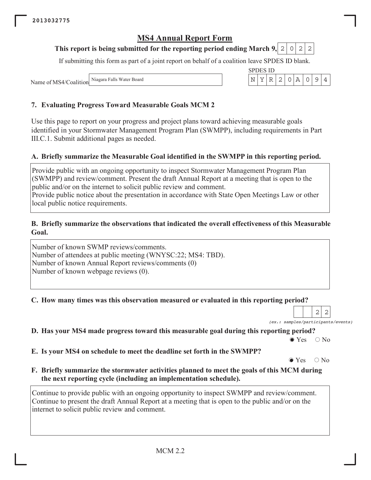#### This report is being submitted for the reporting period ending March 9, 2  $\circ$ 2 2

If submitting this form as part of a joint report on behalf of a coalition leave SPDES ID blank.

**SPDES ID** Y  $\mathbb R$  $\overline{2}$  $\mathsf{O}$  $\overline{A}$  $\mathsf O$ 9

N

Niagara Falls Water Board Name of MS4/Coalition

## 7. Evaluating Progress Toward Measurable Goals MCM 2

Use this page to report on your progress and project plans toward achieving measurable goals identified in your Stormwater Management Program Plan (SWMPP), including requirements in Part III.C.1. Submit additional pages as needed.

## A. Briefly summarize the Measurable Goal identified in the SWMPP in this reporting period.

Provide public with an ongoing opportunity to inspect Stormwater Management Program Plan (SWMPP) and review/comment. Present the draft Annual Report at a meeting that is open to the public and/or on the internet to solicit public review and comment.

Provide public notice about the presentation in accordance with State Open Meetings Law or other local public notice requirements.

#### B. Briefly summarize the observations that indicated the overall effectiveness of this Measurable Goal.

Number of known SWMP reviews/comments. Number of attendees at public meeting (WNYSC:22; MS4: TBD). Number of known Annual Report reviews/comments (0) Number of known webpage reviews (0).

C. How many times was this observation measured or evaluated in this reporting period?

 $2|$  $\overline{2}$ (ex.: samples/participants/events)

 $\overline{4}$ 

D. Has your MS4 made progress toward this measurable goal during this reporting period?

 $\bullet$  Yes  $\bigcirc$  No

E. Is your MS4 on schedule to meet the deadline set forth in the SWMPP?

 $\bullet$  Yes  $\bigcirc$  No

F. Briefly summarize the stormwater activities planned to meet the goals of this MCM during the next reporting cycle (including an implementation schedule).

Continue to provide public with an ongoing opportunity to inspect SWMPP and review/comment. Continue to present the draft Annual Report at a meeting that is open to the public and/or on the internet to solicit public review and comment.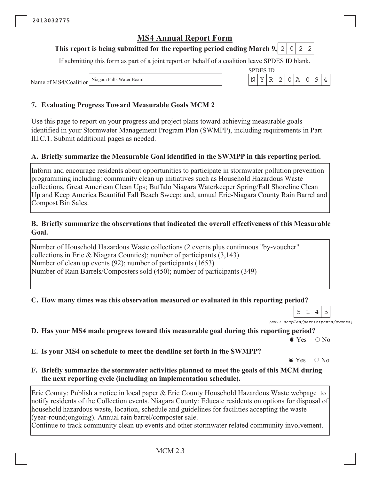#### This report is being submitted for the reporting period ending March 9, 2  $\circ$ 2 2

If submitting this form as part of a joint report on behalf of a coalition leave SPDES ID blank.

**SPDES ID** 

N Υ  $\mathbb R$  $\mathbf{2}$  $\mathsf{O}$  $\overline{A}$  $\mathsf O$  $\mathcal{G}$   $\overline{4}$ 

Niagara Falls Water Board Name of MS4/Coalition

## 7. Evaluating Progress Toward Measurable Goals MCM 2

Use this page to report on your progress and project plans toward achieving measurable goals identified in your Stormwater Management Program Plan (SWMPP), including requirements in Part III.C.1. Submit additional pages as needed.

## A. Briefly summarize the Measurable Goal identified in the SWMPP in this reporting period.

Inform and encourage residents about opportunities to participate in stormwater pollution prevention programming including: community clean up initiatives such as Household Hazardous Waste collections, Great American Clean Ups; Buffalo Niagara Waterkeeper Spring/Fall Shoreline Clean Up and Keep America Beautiful Fall Beach Sweep; and, annual Erie-Niagara County Rain Barrel and Compost Bin Sales.

#### B. Briefly summarize the observations that indicated the overall effectiveness of this Measurable Goal.

Number of Household Hazardous Waste collections (2 events plus continuous "by-voucher" collections in Erie & Niagara Counties); number of participants  $(3,143)$ Number of clean up events (92); number of participants (1653) Number of Rain Barrels/Composters sold (450); number of participants (349)

#### C. How many times was this observation measured or evaluated in this reporting period?

5 5 | 1  $\overline{4}$ (ex.: samples/participants/events)

D. Has your MS4 made progress toward this measurable goal during this reporting period?

 $\bullet$  Yes  $\bigcirc$  No

E. Is your MS4 on schedule to meet the deadline set forth in the SWMPP?

 $\bullet$  Yes  $\bigcirc$  No

F. Briefly summarize the stormwater activities planned to meet the goals of this MCM during the next reporting cycle (including an implementation schedule).

Erie County: Publish a notice in local paper  $\&$  Erie County Household Hazardous Waste webpage to notify residents of the Collection events. Niagara County: Educate residents on options for disposal of household hazardous waste, location, schedule and guidelines for facilities accepting the waste (year-round;ongoing). Annual rain barrel/composter sale.

Continue to track community clean up events and other stormwater related community involvement.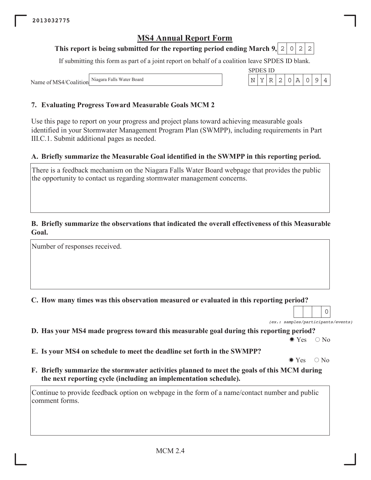#### This report is being submitted for the reporting period ending March 9, 2  $\circ$ 2 2

If submitting this form as part of a joint report on behalf of a coalition leave SPDES ID blank.

**SPDES ID** 

 $\overline{\rm N}$ Y  $R$  $\overline{2}$  $\mathsf{O}$  $\overline{A}$  $\overline{O}$ 9  $\overline{4}$ 

Niagara Falls Water Board Name of MS4/Coalition

## 7. Evaluating Progress Toward Measurable Goals MCM 2

Use this page to report on your progress and project plans toward achieving measurable goals identified in your Stormwater Management Program Plan (SWMPP), including requirements in Part III.C.1. Submit additional pages as needed.

### A. Briefly summarize the Measurable Goal identified in the SWMPP in this reporting period.

There is a feedback mechanism on the Niagara Falls Water Board webpage that provides the public the opportunity to contact us regarding stormwater management concerns.

#### B. Briefly summarize the observations that indicated the overall effectiveness of this Measurable Goal.

Number of responses received.

C. How many times was this observation measured or evaluated in this reporting period?

(ex.: samples/participants/events)

 $\overline{O}$ 

D. Has your MS4 made progress toward this measurable goal during this reporting period?

 $\bullet$  Yes  $\bigcirc$  No

E. Is your MS4 on schedule to meet the deadline set forth in the SWMPP?

 $\bullet$  Yes  $\bigcirc$  No

F. Briefly summarize the stormwater activities planned to meet the goals of this MCM during the next reporting cycle (including an implementation schedule).

Continue to provide feedback option on webpage in the form of a name/contact number and public comment forms.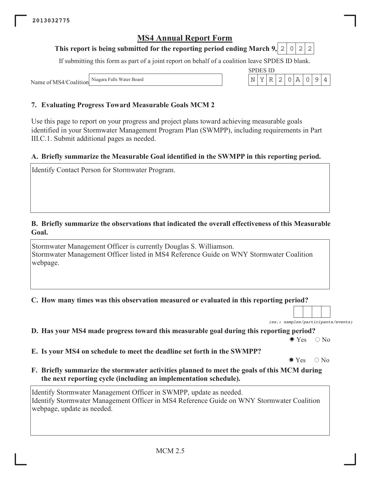#### This report is being submitted for the reporting period ending March 9, 2  $\circ$ 2 2

If submitting this form as part of a joint report on behalf of a coalition leave SPDES ID blank.

**SPDES ID** 

Y  $\mathbb R$  $\overline{2}$  $\mathsf{O}$  $\overline{A}$  $\mathsf O$  $\mathcal{G}$ 

 $\mathbf N$ 

Niagara Falls Water Board Name of MS4/Coalition

## 7. Evaluating Progress Toward Measurable Goals MCM 2

Use this page to report on your progress and project plans toward achieving measurable goals identified in your Stormwater Management Program Plan (SWMPP), including requirements in Part III.C.1. Submit additional pages as needed.

### A. Briefly summarize the Measurable Goal identified in the SWMPP in this reporting period.

Identify Contact Person for Stormwater Program.

#### B. Briefly summarize the observations that indicated the overall effectiveness of this Measurable Goal.

Stormwater Management Officer is currently Douglas S. Williamson. Stormwater Management Officer listed in MS4 Reference Guide on WNY Stormwater Coalition webpage.

C. How many times was this observation measured or evaluated in this reporting period?

(ex.: samples/participants/events)

 $\overline{4}$ 

D. Has your MS4 made progress toward this measurable goal during this reporting period?

 $\bullet$  Yes  $\bigcirc$  No

E. Is your MS4 on schedule to meet the deadline set forth in the SWMPP?

 $\bullet$  Yes  $\bigcirc$  No

F. Briefly summarize the stormwater activities planned to meet the goals of this MCM during the next reporting cycle (including an implementation schedule).

Identify Stormwater Management Officer in SWMPP, update as needed. Identify Stormwater Management Officer in MS4 Reference Guide on WNY Stormwater Coalition webpage, update as needed.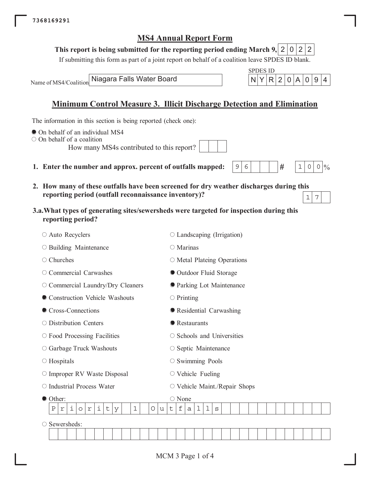## This report is being submitted for the reporting period ending March 9, 2 0 2 2

If submitting this form as part of a joint report on behalf of a coalition leave SPDES ID blank.

Name of MS4/Coalition

Niagara Falls Water Board

## Minimum Control Measure 3. Illicit Discharge Detection and Elimination

 $\mathcal{G}$ 6

The information in this section is being reported (check one):

- On behalf of an individual MS4
- $\circ$  On behalf of a coalition

How many MS4s contributed to this report?

- 1. Enter the number and approx. percent of outfalls mapped:
- 2. How many of these outfalls have been screened for dry weather discharges during this reporting period (outfall reconnaissance inventory)?  $\overline{7}$  $\mathbf 1$
- 3.a. What types of generating sites/sewersheds were targeted for inspection during this reporting period?

| $\circ$ Auto Recyclers                                                                | ○ Landscaping (Irrigation)                               |  |  |  |  |  |  |  |  |  |  |
|---------------------------------------------------------------------------------------|----------------------------------------------------------|--|--|--|--|--|--|--|--|--|--|
| $\circ$ Building Maintenance                                                          | $\bigcirc$ Marinas                                       |  |  |  |  |  |  |  |  |  |  |
| Churches<br>О                                                                         | $\circ$ Metal Plateing Operations                        |  |  |  |  |  |  |  |  |  |  |
| Commercial Carwashes                                                                  | • Outdoor Fluid Storage                                  |  |  |  |  |  |  |  |  |  |  |
| O Commercial Laundry/Dry Cleaners                                                     | <b>• Parking Lot Maintenance</b>                         |  |  |  |  |  |  |  |  |  |  |
| Construction Vehicle Washouts                                                         | $\circ$ Printing                                         |  |  |  |  |  |  |  |  |  |  |
| Cross-Connections                                                                     | • Residential Carwashing                                 |  |  |  |  |  |  |  |  |  |  |
| $\circ$ Distribution Centers                                                          | • Restaurants                                            |  |  |  |  |  |  |  |  |  |  |
| $\circ$ Food Processing Facilities                                                    | $\circ$ Schools and Universities                         |  |  |  |  |  |  |  |  |  |  |
| ○ Garbage Truck Washouts                                                              | $\circ$ Septic Maintenance                               |  |  |  |  |  |  |  |  |  |  |
| $\circ$ Hospitals                                                                     | $\circ$ Swimming Pools                                   |  |  |  |  |  |  |  |  |  |  |
| $\circ$ Improper RV Waste Disposal                                                    | $\circ$ Vehicle Fueling                                  |  |  |  |  |  |  |  |  |  |  |
| $\circ$ Industrial Process Water                                                      | $\circ$ Vehicle Maint./Repair Shops                      |  |  |  |  |  |  |  |  |  |  |
| Other:                                                                                | $\bigcirc$ None                                          |  |  |  |  |  |  |  |  |  |  |
| i<br>i<br>$\mathbf 1$<br>Ρ<br>t<br>O<br>$\Upsilon$<br>У<br>u<br>$\Upsilon$<br>$\circ$ | f<br>$\mathbf 1$<br>$\mathbf 1$<br>t<br>$\mathbf S$<br>a |  |  |  |  |  |  |  |  |  |  |
| Sewersheds:<br>O                                                                      |                                                          |  |  |  |  |  |  |  |  |  |  |
|                                                                                       |                                                          |  |  |  |  |  |  |  |  |  |  |

|  | . |     |        |  |  |
|--|---|-----|--------|--|--|
|  |   | RI2 | 0<br>г |  |  |

 $#$ 

 $\mathbf{1}$  $\Omega$   $0 | 0/6$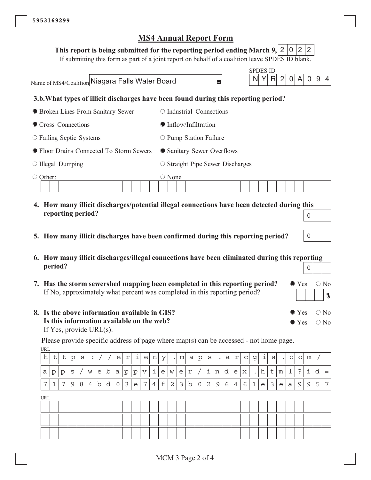| This report is being submitted for the reporting period ending March 9, $\mid$ 2 $\mid$ 0 $\mid$ 2 $\mid$ 2 $\mid$ 2 |  |  |  |  |  |  |
|----------------------------------------------------------------------------------------------------------------------|--|--|--|--|--|--|
|----------------------------------------------------------------------------------------------------------------------|--|--|--|--|--|--|

If submitting this form as part of a joint report on behalf of a coalition leave SPDES ID blank.

**SPDES ID** Name of MS4/Coalition Niagara Falls Water Board  $\overline{2}$ R  $\overline{0}$  $\overline{0}$ N Y A -9 4  $\blacksquare$ 3.b. What types of illicit discharges have been found during this reporting period? **• Broken Lines From Sanitary Sewer**  $\circ$  Industrial Connections ● Cross Connections **Inflow/Infiltration**  $\circ$  Failing Septic Systems  $\circ$  Pump Station Failure ● Floor Drains Connected To Storm Sewers • Sanitary Sewer Overflows  $\circ$  Illegal Dumping  $\circ$  Straight Pipe Sewer Discharges ○ Other:  $\circ$  None

- 4. How many illicit discharges/potential illegal connections have been detected during this reporting period?  $\overline{O}$
- 5. How many illicit discharges have been confirmed during this reporting period?
- 6. How many illicit discharges/illegal connections have been eliminated during this reporting period?  $\overline{0}$

 $\overline{0}$ 

 $\bullet$  Yes

 $\bullet$  Yes

 $\bullet$  Yes

 $\bigcirc$  No

 $\bigcirc$  No

 $\bigcirc$  No

<u>န</u>

- 7. Has the storm sewershed mapping been completed in this reporting period? If No, approximately what percent was completed in this reporting period?
- 8. Is the above information available in GIS? Is this information available on the web? If Yes, provide  $URL(s)$ :

**URL** 

Please provide specific address of page where map(s) can be accessed - not home page.

| h          | t | t | $\mathbf{p}$ | S | $\bullet$      |             |   | e            | r       | i | e | n              | У | $\bullet$ | m | a           | $\rm p$             | S | $\cdot$ | a | r              | $\mathbf C$ | g           | $\mathbf 1$ | S | $\bullet$ | C            | $\circ$ | m |   |     |
|------------|---|---|--------------|---|----------------|-------------|---|--------------|---------|---|---|----------------|---|-----------|---|-------------|---------------------|---|---------|---|----------------|-------------|-------------|-------------|---|-----------|--------------|---------|---|---|-----|
| a          | р | p | S            |   | W              | e           | b | a            | $\rm p$ | p | V | i              | e | W         | e | r           |                     | i | n       | d | e              | $\mathbf x$ | $\bullet$   | h           | t | m         | $\mathbf 1$  | $\cdot$ | i | d | $=$ |
| 7          | 1 | 7 | 9            | 8 | $\overline{4}$ | $\mathbf b$ | d | $\mathsf{O}$ | 3       | e | 7 | $\overline{4}$ | f | 2         | 3 | $\mathbf b$ | $\mathsf{O}\xspace$ | 2 | 9       | 6 | $\overline{4}$ | 6           | $\mathbf 1$ | e           | 3 | e         | $\mathsf{a}$ | 9       | 9 | 5 | 7   |
| <b>URL</b> |   |   |              |   |                |             |   |              |         |   |   |                |   |           |   |             |                     |   |         |   |                |             |             |             |   |           |              |         |   |   |     |
|            |   |   |              |   |                |             |   |              |         |   |   |                |   |           |   |             |                     |   |         |   |                |             |             |             |   |           |              |         |   |   |     |
|            |   |   |              |   |                |             |   |              |         |   |   |                |   |           |   |             |                     |   |         |   |                |             |             |             |   |           |              |         |   |   |     |
|            |   |   |              |   |                |             |   |              |         |   |   |                |   |           |   |             |                     |   |         |   |                |             |             |             |   |           |              |         |   |   |     |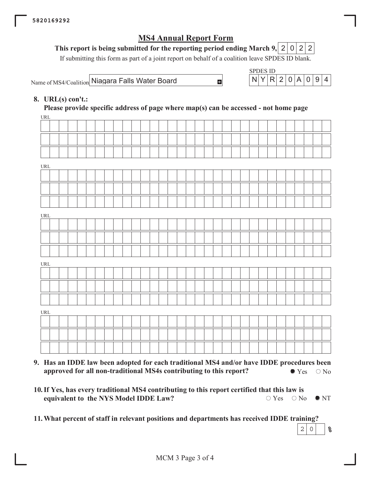#### This report is being submitted for the reporting period ending March 9, 2  $\overline{0}$  $2|2|$

If submitting this form as part of a joint report on behalf of a coalition leave SPDES ID blank.

 $\pm$ 

Name of MS4/Coalition Niagara Falls Water Board



## 8. URL $(s)$  con't.:

Please provide specific address of page where map(s) can be accessed - not home page

| <b>URL</b>                       |  |  |  |  |  |  |  |  |  |  |  |  |  |  |  |  |
|----------------------------------|--|--|--|--|--|--|--|--|--|--|--|--|--|--|--|--|
|                                  |  |  |  |  |  |  |  |  |  |  |  |  |  |  |  |  |
|                                  |  |  |  |  |  |  |  |  |  |  |  |  |  |  |  |  |
|                                  |  |  |  |  |  |  |  |  |  |  |  |  |  |  |  |  |
| $\ensuremath{\text{URL}}\xspace$ |  |  |  |  |  |  |  |  |  |  |  |  |  |  |  |  |
|                                  |  |  |  |  |  |  |  |  |  |  |  |  |  |  |  |  |
|                                  |  |  |  |  |  |  |  |  |  |  |  |  |  |  |  |  |
|                                  |  |  |  |  |  |  |  |  |  |  |  |  |  |  |  |  |
| URL                              |  |  |  |  |  |  |  |  |  |  |  |  |  |  |  |  |
|                                  |  |  |  |  |  |  |  |  |  |  |  |  |  |  |  |  |
|                                  |  |  |  |  |  |  |  |  |  |  |  |  |  |  |  |  |
|                                  |  |  |  |  |  |  |  |  |  |  |  |  |  |  |  |  |
| $\ensuremath{\text{URL}}\xspace$ |  |  |  |  |  |  |  |  |  |  |  |  |  |  |  |  |
|                                  |  |  |  |  |  |  |  |  |  |  |  |  |  |  |  |  |
|                                  |  |  |  |  |  |  |  |  |  |  |  |  |  |  |  |  |
|                                  |  |  |  |  |  |  |  |  |  |  |  |  |  |  |  |  |
| URL                              |  |  |  |  |  |  |  |  |  |  |  |  |  |  |  |  |
|                                  |  |  |  |  |  |  |  |  |  |  |  |  |  |  |  |  |
|                                  |  |  |  |  |  |  |  |  |  |  |  |  |  |  |  |  |
|                                  |  |  |  |  |  |  |  |  |  |  |  |  |  |  |  |  |
|                                  |  |  |  |  |  |  |  |  |  |  |  |  |  |  |  |  |

- 9. Has an IDDE law been adopted for each traditional MS4 and/or have IDDE procedures been approved for all non-traditional MS4s contributing to this report?  $\bullet$  Yes  $\circ$  No
- 10. If Yes, has every traditional MS4 contributing to this report certified that this law is  $\bigcirc$  Yes  $\bigcirc$  No equivalent to the NYS Model IDDE Law?  $\bullet$  NT

11. What percent of staff in relevant positions and departments has received IDDE training?  $2<sup>1</sup>$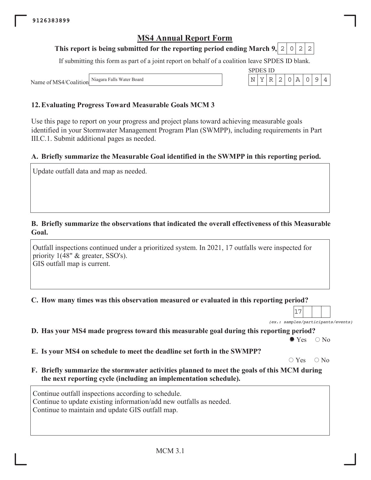#### This report is being submitted for the reporting period ending March 9, 2 0  $\overline{2}$ 2

If submitting this form as part of a joint report on behalf of a coalition leave SPDES ID blank.

**SPDES ID** Y  $R$ 2  $\mathsf{O}$ A  $\mathsf O$ 9

 $\mathbf N$ 

Niagara Falls Water Board Name of MS4/Coalition

### 12. Evaluating Progress Toward Measurable Goals MCM 3

Use this page to report on your progress and project plans toward achieving measurable goals identified in your Stormwater Management Program Plan (SWMPP), including requirements in Part III.C.1. Submit additional pages as needed.

### A. Briefly summarize the Measurable Goal identified in the SWMPP in this reporting period.

Update outfall data and map as needed.

#### B. Briefly summarize the observations that indicated the overall effectiveness of this Measurable Goal.

Outfall inspections continued under a prioritized system. In 2021, 17 outfalls were inspected for priority  $1(48" \& \text{ greater, SSO's}).$ GIS outfall map is current.

C. How many times was this observation measured or evaluated in this reporting period?

|  |  |  | (ex.: samples/participants/events) |  |
|--|--|--|------------------------------------|--|

 $\overline{4}$ 

D. Has your MS4 made progress toward this measurable goal during this reporting period?

 $\bullet$  Yes  $\bigcirc$  No

E. Is your MS4 on schedule to meet the deadline set forth in the SWMPP?

 $\circ$  Yes  $\bigcirc$  No

F. Briefly summarize the stormwater activities planned to meet the goals of this MCM during the next reporting cycle (including an implementation schedule).

Continue outfall inspections according to schedule. Continue to update existing information/add new outfalls as needed. Continue to maintain and update GIS outfall map.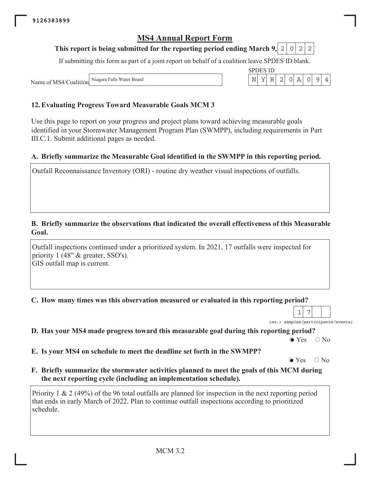#### This report is being submitted for the reporting period ending March 9, 2  $\circ$ 2 2

If submitting this form as part of a joint report on behalf of a coalition leave SPDES ID blank.

**SPDES ID**  $\mathbf Y$  $\ensuremath{\mathbb{R}}$  $\mathbf{2}$  $\circ$  $\, {\bf A}$  $\mathsf{O}$  $\overline{9}$ 

 $N$ 

Niagara Falls Water Board Name of MS4/Coalition

### 12. Evaluating Progress Toward Measurable Goals MCM 3

Use this page to report on your progress and project plans toward achieving measurable goals identified in your Stormwater Management Program Plan (SWMPP), including requirements in Part III.C.1. Submit additional pages as needed.

### A. Briefly summarize the Measurable Goal identified in the SWMPP in this reporting period.

Outfall Reconnaissance Inventory (ORI) - routine dry weather visual inspections of outfalls.

#### B. Briefly summarize the observations that indicated the overall effectiveness of this Measurable Goal.

Outfall inspections continued under a prioritized system. In 2021, 17 outfalls were inspected for priority 1 (48" & greater, SSO's). GIS outfall map is current.

#### C. How many times was this observation measured or evaluated in this reporting period?

7 1 (ex.: samples/participants/events)

 $\overline{4}$ 

D. Has your MS4 made progress toward this measurable goal during this reporting period?

 $\bullet$  Yes  $\bigcirc$  No

E. Is your MS4 on schedule to meet the deadline set forth in the SWMPP?

 $\bullet$  Yes  $\bigcirc$  No

F. Briefly summarize the stormwater activities planned to meet the goals of this MCM during the next reporting cycle (including an implementation schedule).

Priority 1 & 2 (49%) of the 96 total outfalls are planned for inspection in the next reporting period that ends in early March of 2022. Plan to continue outfall inspections according to prioritized schedule.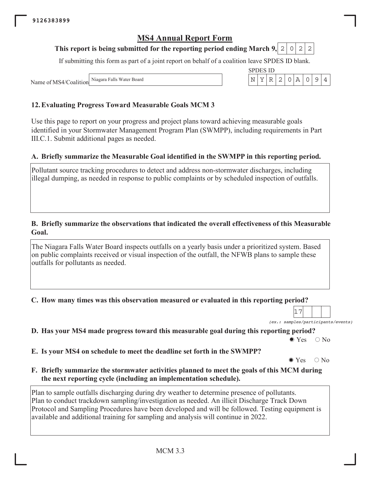#### This report is being submitted for the reporting period ending March 9, 2  $\circ$ 2  $\mathbf{2}$

If submitting this form as part of a joint report on behalf of a coalition leave SPDES ID blank.

**SPDES ID** Y  $\mathbb R$ 2  $\mathsf{O}$  $\overline{A}$  $\mathsf O$  $\mathcal{G}$ 

 $\mathbf N$ 

Niagara Falls Water Board Name of MS4/Coalition

## 12. Evaluating Progress Toward Measurable Goals MCM 3

Use this page to report on your progress and project plans toward achieving measurable goals identified in your Stormwater Management Program Plan (SWMPP), including requirements in Part III.C.1. Submit additional pages as needed.

### A. Briefly summarize the Measurable Goal identified in the SWMPP in this reporting period.

Pollutant source tracking procedures to detect and address non-stormwater discharges, including illegal dumping, as needed in response to public complaints or by scheduled inspection of outfalls.

#### B. Briefly summarize the observations that indicated the overall effectiveness of this Measurable Goal.

The Niagara Falls Water Board inspects outfalls on a yearly basis under a prioritized system. Based on public complaints received or visual inspection of the outfall, the NFWB plans to sample these outfalls for pollutants as needed.

C. How many times was this observation measured or evaluated in this reporting period?

 $17$ (ex.: samples/participants/events)

 $\overline{4}$ 

D. Has your MS4 made progress toward this measurable goal during this reporting period?

 $\bullet$  Yes  $\bigcirc$  No

E. Is your MS4 on schedule to meet the deadline set forth in the SWMPP?

 $\bullet$  Yes  $\bigcirc$  No

F. Briefly summarize the stormwater activities planned to meet the goals of this MCM during the next reporting cycle (including an implementation schedule).

Plan to sample outfalls discharging during dry weather to determine presence of pollutants. Plan to conduct trackdown sampling/investigation as needed. An illicit Discharge Track Down Protocol and Sampling Procedures have been developed and will be followed. Testing equipment is available and additional training for sampling and analysis will continue in 2022.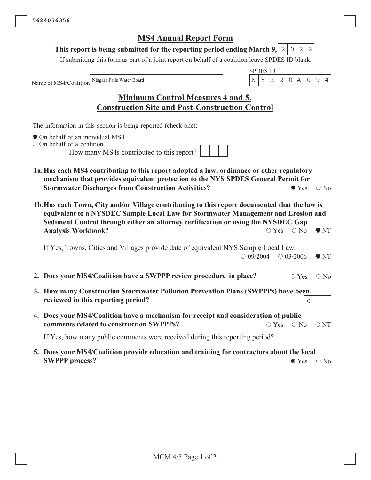#### This report is being submitted for the reporting period ending March 9,  $|2|$  $2 \mid 2$  $\circ$

If submitting this form as part of a joint report on behalf of a coalition leave SPDES ID blank.

Niagara Falls Water Board Name of MS4/Coalition

|  | ш |  |  |  |
|--|---|--|--|--|
|  |   |  |  |  |

| <b>Minimum Control Measures 4 and 5.</b>               |  |
|--------------------------------------------------------|--|
| <b>Construction Site and Post-Construction Control</b> |  |

The information in this section is being reported (check one):

- On behalf of an individual MS4
- $\circ$  On behalf of a coalition

How many MS4s contributed to this report?

- 1a. Has each MS4 contributing to this report adopted a law, ordinance or other regulatory mechanism that provides equivalent protection to the NYS SPDES General Permit for **Stormwater Discharges from Construction Activities?**  $\bullet$  Yes  $\circ$  No
- 1b. Has each Town, City and/or Village contributing to this report documented that the law is equivalent to a NYSDEC Sample Local Law for Stormwater Management and Erosion and Sediment Control through either an attorney cerfification or using the NYSDEC Gap **Analysis Workbook?**  $\circ$  Yes  $\circ$  No  $\bullet$  NT

If Yes, Towns, Cities and Villages provide date of equivalent NYS Sample Local Law.  $\bigcirc$  09/2004  $\bigcirc$  03/2006  $\bullet$  NT

- 2. Does your MS4/Coalition have a SWPPP review procedure in place?  $\circ$  Yes  $\bigcirc$  No
- 3. How many Construction Stormwater Pollution Prevention Plans (SWPPPs) have been reviewed in this reporting period?  $\Omega$
- 4. Does your MS4/Coalition have a mechanism for receipt and consideration of public comments related to construction SWPPPs?  $\circ$  Yes  $\bigcirc$  No  $\circ$  NT

If Yes, how many public comments were received during this reporting period?

5. Does your MS4/Coalition provide education and training for contractors about the local **SWPPP** process?  $\bullet$  Yes  $\circ$  No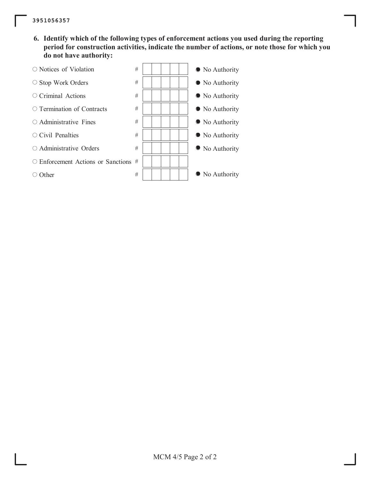6. Identify which of the following types of enforcement actions you used during the reporting period for construction activities, indicate the number of actions, or note those for which you do not have authority:

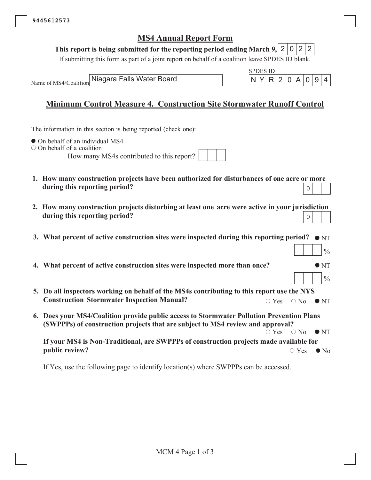### This report is being submitted for the reporting period ending March 9, 2 0 2 2

If submitting this form as part of a joint report on behalf of a coalition leave SPDES ID blank.

Name of MS4/Coalition

Niagara Falls Water Board

|  | S 11) |  |               |   |  |
|--|-------|--|---------------|---|--|
|  |       |  | R   2   N   A | 0 |  |

 $\frac{0}{0}$ 

 $\frac{0}{0}$ 

## **Minimum Control Measure 4. Construction Site Stormwater Runoff Control**

The information in this section is being reported (check one):

• On behalf of an individual MS4

 $\circ$  On behalf of a coalition

How many MS4s contributed to this report?

- 1. How many construction projects have been authorized for disturbances of one acre or more during this reporting period?  $\overline{O}$
- 2. How many construction projects disturbing at least one acre were active in your jurisdiction during this reporting period?  $\mathsf{O}\xspace$
- 3. What percent of active construction sites were inspected during this reporting period?  $\bullet$  NT
- 4. What percent of active construction sites were inspected more than once?  $\bullet$  NT
- 5. Do all inspectors working on behalf of the MS4s contributing to this report use the NYS **Construction Stormwater Inspection Manual?**  $\bigcirc$  Yes  $\bigcirc$  No  $\bullet$  NT
- 6. Does your MS4/Coalition provide public access to Stormwater Pollution Prevention Plans (SWPPPs) of construction projects that are subject to MS4 review and approval?  $\circ$  Yes  $\bigcirc$  No  $\bullet$  NT

If your MS4 is Non-Traditional, are SWPPPs of construction projects made available for public review?  $\circ$  Yes  $\bullet$  No

If Yes, use the following page to identify location(s) where SWPPPs can be accessed.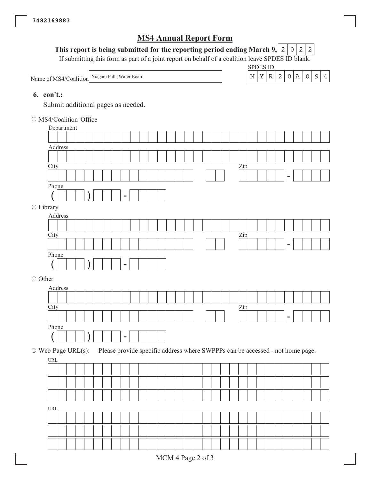## This report is being submitted for the reporting period ending March 9,  $|2|0|2|2$

If submitting this form as part of a joint report on behalf of a coalition leave SPDES ID blank.

SPDES ID



#### **6.** con't.:

Submit additional pages as needed.

O MS4/Coalition Office

|                          |                                    | Department |  |  |  |                          |  |  |  |  |  |  |                   |  |  |                |                                                                               |  |
|--------------------------|------------------------------------|------------|--|--|--|--------------------------|--|--|--|--|--|--|-------------------|--|--|----------------|-------------------------------------------------------------------------------|--|
|                          |                                    |            |  |  |  |                          |  |  |  |  |  |  |                   |  |  |                |                                                                               |  |
|                          |                                    | Address    |  |  |  |                          |  |  |  |  |  |  |                   |  |  |                |                                                                               |  |
|                          |                                    |            |  |  |  |                          |  |  |  |  |  |  |                   |  |  |                |                                                                               |  |
|                          | City                               |            |  |  |  |                          |  |  |  |  |  |  | $_{\frac{Zip}{}}$ |  |  |                |                                                                               |  |
|                          |                                    |            |  |  |  |                          |  |  |  |  |  |  |                   |  |  | $\overline{a}$ |                                                                               |  |
|                          | Phone                              |            |  |  |  |                          |  |  |  |  |  |  |                   |  |  |                |                                                                               |  |
|                          |                                    |            |  |  |  | $\overline{\phantom{a}}$ |  |  |  |  |  |  |                   |  |  |                |                                                                               |  |
| $\bigcirc$ Library       |                                    |            |  |  |  |                          |  |  |  |  |  |  |                   |  |  |                |                                                                               |  |
|                          |                                    | Address    |  |  |  |                          |  |  |  |  |  |  |                   |  |  |                |                                                                               |  |
|                          |                                    |            |  |  |  |                          |  |  |  |  |  |  |                   |  |  |                |                                                                               |  |
|                          | City                               |            |  |  |  |                          |  |  |  |  |  |  | $_{\text{Zip}}$   |  |  |                |                                                                               |  |
|                          |                                    |            |  |  |  |                          |  |  |  |  |  |  |                   |  |  |                |                                                                               |  |
|                          | Phone                              |            |  |  |  |                          |  |  |  |  |  |  |                   |  |  |                |                                                                               |  |
|                          |                                    |            |  |  |  |                          |  |  |  |  |  |  |                   |  |  |                |                                                                               |  |
| ○ Other                  |                                    |            |  |  |  |                          |  |  |  |  |  |  |                   |  |  |                |                                                                               |  |
|                          |                                    | Address    |  |  |  |                          |  |  |  |  |  |  |                   |  |  |                |                                                                               |  |
|                          |                                    |            |  |  |  |                          |  |  |  |  |  |  |                   |  |  |                |                                                                               |  |
|                          | City                               |            |  |  |  |                          |  |  |  |  |  |  | Zip               |  |  |                |                                                                               |  |
|                          |                                    |            |  |  |  |                          |  |  |  |  |  |  |                   |  |  |                |                                                                               |  |
|                          | Phone                              |            |  |  |  |                          |  |  |  |  |  |  |                   |  |  |                |                                                                               |  |
|                          |                                    |            |  |  |  |                          |  |  |  |  |  |  |                   |  |  |                |                                                                               |  |
| $\circ$ Web Page URL(s): |                                    |            |  |  |  |                          |  |  |  |  |  |  |                   |  |  |                | Please provide specific address where SWPPPs can be accessed - not home page. |  |
|                          | $\ensuremath{\mathsf{URL}}\xspace$ |            |  |  |  |                          |  |  |  |  |  |  |                   |  |  |                |                                                                               |  |
|                          |                                    |            |  |  |  |                          |  |  |  |  |  |  |                   |  |  |                |                                                                               |  |
|                          |                                    |            |  |  |  |                          |  |  |  |  |  |  |                   |  |  |                |                                                                               |  |
|                          |                                    |            |  |  |  |                          |  |  |  |  |  |  |                   |  |  |                |                                                                               |  |
|                          |                                    |            |  |  |  |                          |  |  |  |  |  |  |                   |  |  |                |                                                                               |  |
|                          | $\ensuremath{\mathsf{URL}}\xspace$ |            |  |  |  |                          |  |  |  |  |  |  |                   |  |  |                |                                                                               |  |
|                          |                                    |            |  |  |  |                          |  |  |  |  |  |  |                   |  |  |                |                                                                               |  |
|                          |                                    |            |  |  |  |                          |  |  |  |  |  |  |                   |  |  |                |                                                                               |  |
|                          |                                    |            |  |  |  |                          |  |  |  |  |  |  |                   |  |  |                |                                                                               |  |
|                          |                                    |            |  |  |  |                          |  |  |  |  |  |  |                   |  |  |                |                                                                               |  |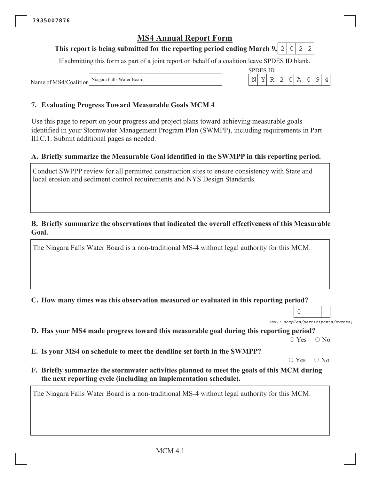## This report is being submitted for the reporting period ending March 9, 2 0 2

If submitting this form as part of a joint report on behalf of a coalition leave SPDES ID blank.

Name of MS4/Coalition Niago

### 7. Evaluating Progress Toward Measurable Goals MCM 4

Use this page to report on your progress and project plans toward achieving measurable goals identified in your Stormwater Management Program Plan (SWMPP), including requirements in Part III.C.1. Submit additional pages as needed.

### A. Briefly summarize the Measurable Goal identified in the SWMPP in this reporting period.

Conduct SWPPP review for all permitted construction sites to ensure consistency with State and local erosion and sediment control requirements and NYS Design Standards.

#### B. Briefly summarize the observations that indicated the overall effectiveness of this Measurable Goal.

The Niagara Falls Water Board is a non-traditional MS-4 without legal authority for this MCM.

C. How many times was this observation measured or evaluated in this reporting period?

(ex.: samples/participants/events)

 $\mathbf{O}$ 

D. Has your MS4 made progress toward this measurable goal during this reporting period?

 $\bigcirc$  Yes  $\bigcirc$  No

E. Is your MS4 on schedule to meet the deadline set forth in the SWMPP?

 $\circ$  Yes  $\bigcirc$  No

F. Briefly summarize the stormwater activities planned to meet the goals of this MCM during the next reporting cycle (including an implementation schedule).

|  | ш |  |  |  |
|--|---|--|--|--|
|  |   |  |  |  |

2

| Niagara Falls Water Board |  |  |
|---------------------------|--|--|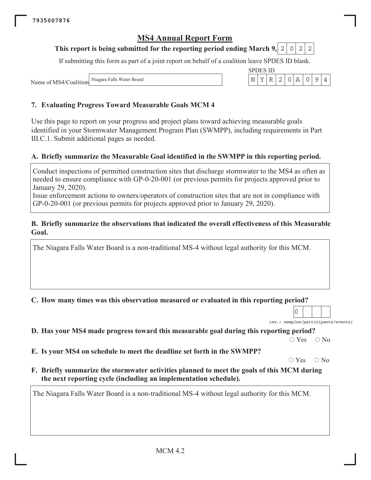#### This report is being submitted for the reporting period ending March 9, 2  $\Omega$ 2  $\mathbf{2}$

If submitting this form as part of a joint report on behalf of a coalition leave SPDES ID blank.

**SPDES ID** Y  $\mathbb R$ 2  $\mathsf{O}$  $\overline{A}$  $\mathsf O$  $\mathcal{G}$ 

N

Niagara Falls Water Board Name of MS4/Coalition

### 7. Evaluating Progress Toward Measurable Goals MCM 4

Use this page to report on your progress and project plans toward achieving measurable goals identified in your Stormwater Management Program Plan (SWMPP), including requirements in Part III.C.1. Submit additional pages as needed.

### A. Briefly summarize the Measurable Goal identified in the SWMPP in this reporting period.

Conduct inspections of permitted construction sites that discharge stormwater to the MS4 as often as needed to ensure compliance with GP-0-20-001 (or previous permits for projects approved prior to January 29, 2020).

Issue enforcement actions to owners/operators of construction sites that are not in compliance with GP-0-20-001 (or previous permits for projects approved prior to January 29, 2020).

#### B. Briefly summarize the observations that indicated the overall effectiveness of this Measurable Goal.

The Niagara Falls Water Board is a non-traditional MS-4 without legal authority for this MCM.

#### C. How many times was this observation measured or evaluated in this reporting period?

0 (ex.: samples/participants/events)

 $\overline{4}$ 

D. Has your MS4 made progress toward this measurable goal during this reporting period?

 $\bigcirc$  Yes  $\bigcirc$  No

E. Is your MS4 on schedule to meet the deadline set forth in the SWMPP?

 $\circ$  Yes  $\bigcirc$  No

F. Briefly summarize the stormwater activities planned to meet the goals of this MCM during the next reporting cycle (including an implementation schedule).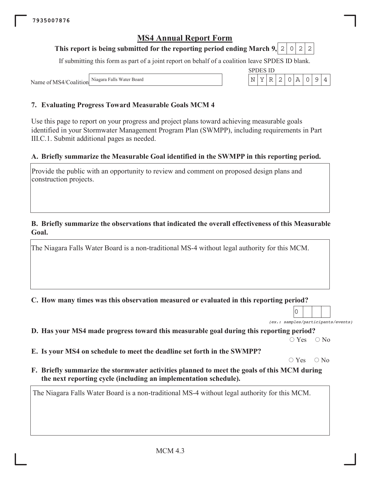#### This report is being submitted for the reporting period ending March 9, 2  $\circ$ 2 2

If submitting this form as part of a joint report on behalf of a coalition leave SPDES ID blank.

**SPDES ID** 

Y  $\mathbb R$  $\overline{2}$  $\mathsf{O}$  $\overline{A}$  $\mathsf O$  $\mathcal{G}$ 

 $\mathbf N$ 

Niagara Falls Water Board Name of MS4/Coalition

### 7. Evaluating Progress Toward Measurable Goals MCM 4

Use this page to report on your progress and project plans toward achieving measurable goals identified in your Stormwater Management Program Plan (SWMPP), including requirements in Part III.C.1. Submit additional pages as needed.

### A. Briefly summarize the Measurable Goal identified in the SWMPP in this reporting period.

Provide the public with an opportunity to review and comment on proposed design plans and construction projects.

#### B. Briefly summarize the observations that indicated the overall effectiveness of this Measurable Goal.

The Niagara Falls Water Board is a non-traditional MS-4 without legal authority for this MCM.

C. How many times was this observation measured or evaluated in this reporting period?

(ex.: samples/participants/events)

0

 $\overline{4}$ 

D. Has your MS4 made progress toward this measurable goal during this reporting period?

 $\bigcirc$  Yes  $\bigcirc$  No

E. Is your MS4 on schedule to meet the deadline set forth in the SWMPP?

 $\circ$  Yes  $\bigcirc$  No

F. Briefly summarize the stormwater activities planned to meet the goals of this MCM during the next reporting cycle (including an implementation schedule).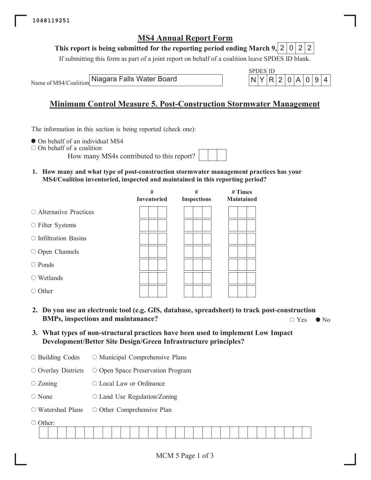This report is being submitted for the reporting period ending March 9, 2 0  $\mathbf{2}$  $\mathbf{2}^{\prime}$ 

If submitting this form as part of a joint report on behalf of a coalition leave SPDES ID blank.

Name of MS4/Coalition

Niagara Falls Water Board



## **Minimum Control Measure 5. Post-Construction Stormwater Management**

The information in this section is being reported (check one):

- On behalf of an individual MS4
- $\circ$  On behalf of a coalition

How many MS4s contributed to this repo

1. How many and what type of post-construction stormwater management practices has your MS4/Coalition inventoried, inspected and maintained in this reporting period?

|                             | #<br>Inventoried | #<br><b>Inspections</b> | # Times<br><b>Maintained</b> |
|-----------------------------|------------------|-------------------------|------------------------------|
| ○ Alternative Practices     |                  |                         |                              |
| ○ Filter Systems            |                  |                         |                              |
| $\circ$ Infiltration Basins |                  |                         |                              |
| $\circ$ Open Channels       |                  |                         |                              |
| $\bigcirc$ Ponds            |                  |                         |                              |
| $\circ$ Wetlands            |                  |                         |                              |
| $\circ$ Other               |                  |                         |                              |

- 2. Do you use an electronic tool (e.g. GIS, database, spreadsheet) to track post-construction **BMPs, inspections and maintanance?**  $\circ$  Yes  $\bullet$  No
- 3. What types of non-structural practices have been used to implement Low Impact Development/Better Site Design/Green Infrastructure principles?
- $\circ$  Building Codes ○ Municipal Comprehensive Plans

 $\circ$  Overlay Districts  $\circ$  Open Space Preservation Program

- $\circ$  Zoning ○ Local Law or Ordinance
- $\bigcirc$  None  $\circ$  Land Use Regulation/Zoning
- Watershed Plans ○ Other Comprehensive Plan

○ Other

|  |  |  |  | and the contract of the contract of the contract of the contract of the contract of the contract of the contract of the contract of the contract of the contract of the contract of the contract of the contract of the contra | the contract of the contract of the contract of | the contract of the contract of the contract of | and the contract of the contract of |  | the contract of the contract of the contract of the contract of the contract of the contract of the contract of |  | the contract of the contract of the contract of the contract of the contract of |  | and the contract of the contract of |  | the contract of the contract of the contract of |  |
|--|--|--|--|--------------------------------------------------------------------------------------------------------------------------------------------------------------------------------------------------------------------------------|-------------------------------------------------|-------------------------------------------------|-------------------------------------|--|-----------------------------------------------------------------------------------------------------------------|--|---------------------------------------------------------------------------------|--|-------------------------------------|--|-------------------------------------------------|--|
|  |  |  |  |                                                                                                                                                                                                                                |                                                 |                                                 |                                     |  |                                                                                                                 |  |                                                                                 |  |                                     |  |                                                 |  |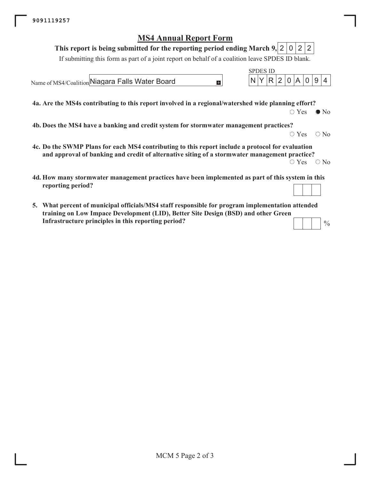#### This report is being submitted for the reporting period ending March 9, 2 | 0 |  $2<sub>1</sub>$  $\overline{2}$

If submitting this form as part of a joint report on behalf of a coalition leave SPDES ID blank.

 $\mathbf{L}$ 

Name of MS4/Coalition Niagara Falls Water Board

4a. Are the MS4s contributing to this report involved in a regional/watershed wide planning effort?

 $\circ$  Yes  $\bullet$  No

 $\Omega$ 9  $\overline{4}$ 

**SPDES ID** 

R.  $\overline{2}$   $\Omega$ 

Δ

4b. Does the MS4 have a banking and credit system for stormwater management practices?

 $\circ$  Yes  $\circ$  No

 $\frac{0}{0}$ 

- 4c. Do the SWMP Plans for each MS4 contributing to this report include a protocol for evaluation and approval of banking and credit of alternative siting of a stormwater management practice?  $\circ$  Yes  $\circ$  No
- 4d. How many stormwater management practices have been implemented as part of this system in this reporting period?
- 5. What percent of municipal officials/MS4 staff responsible for program implementation attended training on Low Impace Development (LID), Better Site Design (BSD) and other Green Infrastructure principles in this reporting period?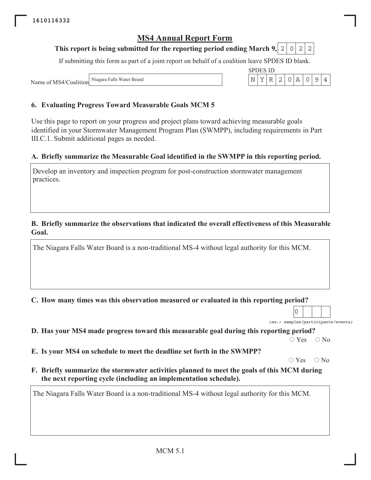#### This report is being submitted for the reporting period ending March 9, 2  $\circ$ 2 2

If submitting this form as part of a joint report on behalf of a coalition leave SPDES ID blank.

**SPDES ID** Y  $\mathbb R$  $\overline{2}$  $\mathsf{O}$  $\overline{A}$  $\mathsf O$  $\mathcal{G}$ 

N

Niagara Falls Water Board Name of MS4/Coalition

## 6. Evaluating Progress Toward Measurable Goals MCM 5

Use this page to report on your progress and project plans toward achieving measurable goals identified in your Stormwater Management Program Plan (SWMPP), including requirements in Part III.C.1. Submit additional pages as needed.

### A. Briefly summarize the Measurable Goal identified in the SWMPP in this reporting period.

Develop an inventory and inspection program for post-construction stormwater management practices.

#### B. Briefly summarize the observations that indicated the overall effectiveness of this Measurable Goal.

The Niagara Falls Water Board is a non-traditional MS-4 without legal authority for this MCM.

C. How many times was this observation measured or evaluated in this reporting period?

(ex.: samples/participants/events)

0

 $\overline{4}$ 

D. Has your MS4 made progress toward this measurable goal during this reporting period?

 $\bigcirc$  Yes  $\bigcirc$  No

E. Is your MS4 on schedule to meet the deadline set forth in the SWMPP?

 $\circ$  Yes  $\bigcirc$  No

F. Briefly summarize the stormwater activities planned to meet the goals of this MCM during the next reporting cycle (including an implementation schedule).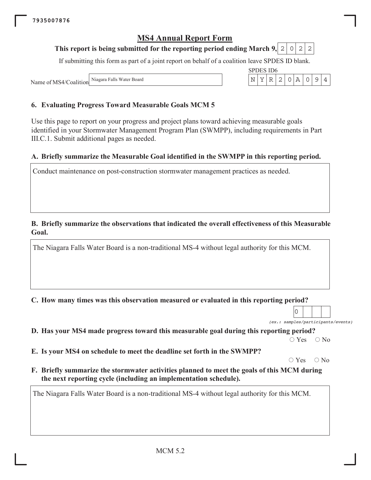#### This report is being submitted for the reporting period ending March 9, 2  $\circ$ 2 2

If submitting this form as part of a joint report on behalf of a coalition leave SPDES ID blank.

SPDES ID6

Y  $\mathbb R$ 2  $\mathsf{O}$  $\overline{A}$  $\mathsf O$  $\mathcal{G}$ 

N

Niagara Falls Water Board Name of MS4/Coalition

### 6. Evaluating Progress Toward Measurable Goals MCM 5

Use this page to report on your progress and project plans toward achieving measurable goals identified in your Stormwater Management Program Plan (SWMPP), including requirements in Part III.C.1. Submit additional pages as needed.

### A. Briefly summarize the Measurable Goal identified in the SWMPP in this reporting period.

Conduct maintenance on post-construction stormwater management practices as needed.

#### B. Briefly summarize the observations that indicated the overall effectiveness of this Measurable Goal.

The Niagara Falls Water Board is a non-traditional MS-4 without legal authority for this MCM.

C. How many times was this observation measured or evaluated in this reporting period?

(ex.: samples/participants/events)

0

 $\overline{4}$ 

D. Has your MS4 made progress toward this measurable goal during this reporting period?

 $\bigcirc$  Yes  $\bigcirc$  No

E. Is your MS4 on schedule to meet the deadline set forth in the SWMPP?

 $\circ$  Yes  $\bigcirc$  No

F. Briefly summarize the stormwater activities planned to meet the goals of this MCM during the next reporting cycle (including an implementation schedule).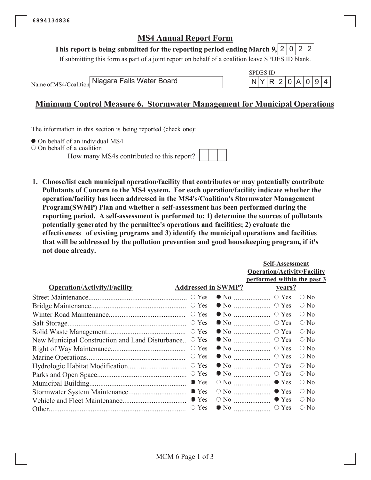#### This report is being submitted for the reporting period ending March 9,  $2 \mid 0 \mid 2$ 2

If submitting this form as part of a joint report on behalf of a coalition leave SPDES ID blank.

Name of MS4/Coalition

Niagara Falls Water Board



## **Minimum Control Measure 6. Stormwater Management for Municipal Operations**

The information in this section is being reported (check one):

• On behalf of an individual MS4

 $\circ$  On behalf of a coalition

How many MS4s contributed to this report?



1. Choose/list each municipal operation/facility that contributes or may potentially contribute Pollutants of Concern to the MS4 system. For each operation/facility indicate whether the operation/facility has been addressed in the MS4's/Coalition's Stormwater Management Program(SWMP) Plan and whether a self-assessment has been performed during the reporting period. A self-assessment is performed to: 1) determine the sources of pollutants potentially generated by the permittee's operations and facilities; 2) evaluate the effectiveness of existing programs and 3) identify the municipal operations and facilities that will be addressed by the pollution prevention and good housekeeping program, if it's not done already.

|                                                 |                           |                     | <b>Self-Assessment</b>             |               |
|-------------------------------------------------|---------------------------|---------------------|------------------------------------|---------------|
|                                                 |                           |                     | <b>Operation/Activity/Facility</b> |               |
|                                                 |                           |                     | performed within the past 3        |               |
| <b>Operation/Activity/Facility</b>              | <b>Addressed in SWMP?</b> |                     | <u>vears?</u>                      |               |
|                                                 |                           |                     |                                    | $\bigcirc$ No |
|                                                 |                           |                     | $\bullet$ No $\ldots$ $\circ$ Yes  | $\bigcirc$ No |
|                                                 |                           |                     |                                    | $\bigcirc$ No |
|                                                 |                           |                     | $\bullet$ No $\ldots$ $\circ$ Yes  | $\bigcirc$ No |
|                                                 |                           |                     |                                    | $\circ$ No    |
| New Municipal Construction and Land Disturbance | $\circ$ Yes               |                     | $\bullet$ No $\ldots$ $\circ$ Yes  | $\bigcirc$ No |
|                                                 | $\circ$ Yes               |                     | $\bullet$ No $\quad \bullet$ Yes   | $\circ$ No    |
|                                                 | $\circ$ Yes               |                     | $\bullet$ No $\ldots$ $\circ$ Yes  | $\circ$ No    |
|                                                 |                           |                     | $\bullet$ No $\ldots$ $\circ$ Yes  | $\bigcirc$ No |
|                                                 |                           |                     | $\bullet$ No $\ldots$ $\circ$ Yes  | $\bigcirc$ No |
|                                                 | $\bullet$ Yes             | $\circ$ No $\ldots$ | $\bullet$ Yes                      | $\bigcirc$ No |
|                                                 |                           | $\circ$ No $\ldots$ | $\bullet$ Yes                      | $\bigcirc$ No |
|                                                 |                           | $\circ$ No $\ldots$ | $\bullet$ Yes                      | $\circ$ No    |
|                                                 | $\circ$ Yes               |                     | $\circ$ Yes                        | $\bigcirc$ No |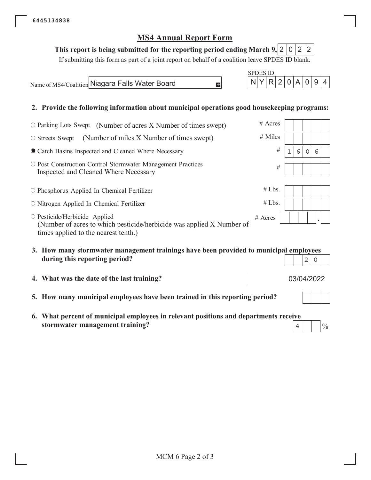## This report is being submitted for the reporting period ending March 9, 2 0 2 2

If submitting this form as part of a joint report on behalf of a coalition leave SPDES ID blank.

E.

Name of MS4/Coalition Niagara Falls Water Board

### 2. Provide the following information about municipal operations good housekeeping programs:

| $\circ$ Parking Lots Swept (Number of acres X Number of times swept)                                                                                 | $#$ Acres |   |        |  |
|------------------------------------------------------------------------------------------------------------------------------------------------------|-----------|---|--------|--|
| (Number of miles X Number of times swept)<br>$\circ$ Streets Swept                                                                                   | # Miles   |   |        |  |
| Catch Basins Inspected and Cleaned Where Necessary                                                                                                   | #         | 6 | ∩<br>6 |  |
| O Post Construction Control Stormwater Management Practices<br>Inspected and Cleaned Where Necessary                                                 | #         |   |        |  |
| O Phosphorus Applied In Chemical Fertilizer                                                                                                          | #Lbs.     |   |        |  |
| $\circ$ Nitrogen Applied In Chemical Fertilizer                                                                                                      | #Lbs.     |   |        |  |
| $\circ$ Pesticide/Herbicide Applied<br>(Number of acres to which pesticide/herbicide was applied X Number of<br>times applied to the nearest tenth.) | $#$ Acres |   |        |  |

- 3. How many stormwater management trainings have been provided to municipal employees during this reporting period?  $2|0$
- 4. What was the date of the last training?
- 5. How many municipal employees have been trained in this reporting period?
- 6. What percent of municipal employees in relevant positions and departments receive stormwater management training?  $\overline{4}$



 $\overline{A}$ 

 $0|9|4$ 

**SPDES ID** 

 $N|Y$ 

 $R|2|0$ 

<u>rans de la part</u>

03/04/2022

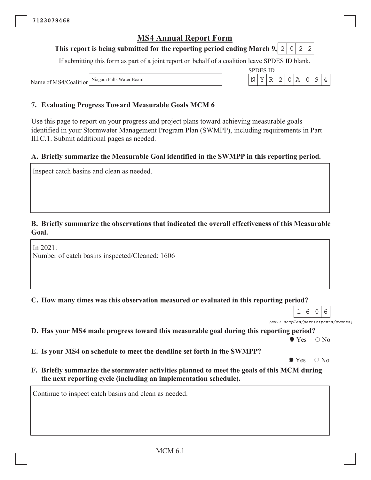#### This report is being submitted for the reporting period ending March 9, 2  $\overline{0}$ 2 2

If submitting this form as part of a joint report on behalf of a coalition leave SPDES ID blank.

Niagara Falls Water Board Name of MS4/Coalition

#### 7. Evaluating Progress Toward Measurable Goals MCM 6

Use this page to report on your progress and project plans toward achieving measurable goals identified in your Stormwater Management Program Plan (SWMPP), including requirements in Part III.C.1. Submit additional pages as needed.

#### A. Briefly summarize the Measurable Goal identified in the SWMPP in this reporting period.

Inspect catch basins and clean as needed.

### B. Briefly summarize the observations that indicated the overall effectiveness of this Measurable Goal.

In  $2021$ : Number of catch basins inspected/Cleaned: 1606

C. How many times was this observation measured or evaluated in this reporting period?

 $6 \overline{6}$  $\circ$ 6  $\mathbf{1}$ 

D. Has your MS4 made progress toward this measurable goal during this reporting period?

 $\bullet$  Yes  $\bigcirc$  No

E. Is your MS4 on schedule to meet the deadline set forth in the SWMPP?

 $\bullet$  Yes  $\bigcirc$  No

F. Briefly summarize the stormwater activities planned to meet the goals of this MCM during the next reporting cycle (including an implementation schedule).

Continue to inspect catch basins and clean as needed.



(ex.: samples/participants/events)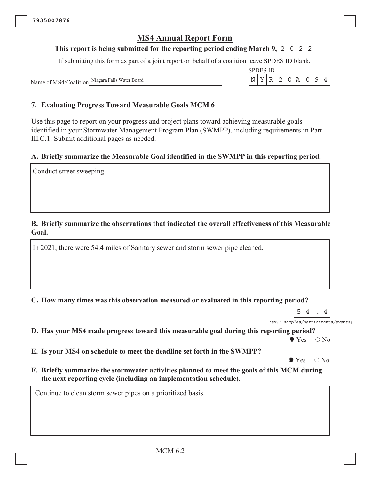#### This report is being submitted for the reporting period ending March 9, 2  $\circ$ 2 2

If submitting this form as part of a joint report on behalf of a coalition leave SPDES ID blank.

Niagara Falls Water Board Name of MS4/Coalition

### 7. Evaluating Progress Toward Measurable Goals MCM 6

Use this page to report on your progress and project plans toward achieving measurable goals identified in your Stormwater Management Program Plan (SWMPP), including requirements in Part III.C.1. Submit additional pages as needed.

#### A. Briefly summarize the Measurable Goal identified in the SWMPP in this reporting period.

Conduct street sweeping.

## B. Briefly summarize the observations that indicated the overall effectiveness of this Measurable Goal.

In 2021, there were 54.4 miles of Sanitary sewer and storm sewer pipe cleaned.

C. How many times was this observation measured or evaluated in this reporting period?

5  $\overline{4}$  $\overline{4}$ (ex.: samples/participants/events)

D. Has your MS4 made progress toward this measurable goal during this reporting period?

 $\bullet$  Yes  $\bigcirc$  No

E. Is your MS4 on schedule to meet the deadline set forth in the SWMPP?

 $\bullet$  Yes  $\bigcirc$  No

F. Briefly summarize the stormwater activities planned to meet the goals of this MCM during the next reporting cycle (including an implementation schedule).

Continue to clean storm sewer pipes on a prioritized basis.

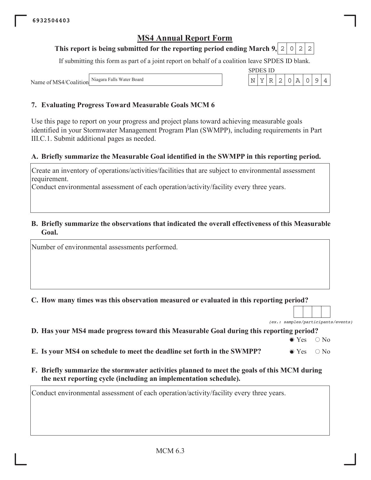#### This report is being submitted for the reporting period ending March 9, 2 0 2 2

If submitting this form as part of a joint report on behalf of a coalition leave SPDES ID blank.

**SPDES ID** 

 $N|Y|R|$ 

 $\vert$  2

 $0 \, \text{A}$ 

 $\circ$  $9$   $\overline{4}$ 

Niagara Falls Water Board Name of MS4/Coalition

## 7. Evaluating Progress Toward Measurable Goals MCM 6

Use this page to report on your progress and project plans toward achieving measurable goals identified in your Stormwater Management Program Plan (SWMPP), including requirements in Part III.C.1. Submit additional pages as needed.

### A. Briefly summarize the Measurable Goal identified in the SWMPP in this reporting period.

Create an inventory of operations/activities/facilities that are subject to environmental assessment requirement.

Conduct environmental assessment of each operation/activity/facility every three years.

#### B. Briefly summarize the observations that indicated the overall effectiveness of this Measurable Goal.

Number of environmental assessments performed.

C. How many times was this observation measured or evaluated in this reporting period?

(ex.: samples/participants/events)

|  |  |  | D. Has your MS4 made progress toward this Measurable Goal during this reporting period? |  |  |  |
|--|--|--|-----------------------------------------------------------------------------------------|--|--|--|
|  |  |  |                                                                                         |  |  |  |

 $\bullet$  Yes  $\bigcirc$  No

| E. Is your MS4 on schedule to meet the deadline set forth in the SWMPP? | $\bullet$ Yes $\circ$ No |  |
|-------------------------------------------------------------------------|--------------------------|--|
|-------------------------------------------------------------------------|--------------------------|--|

F. Briefly summarize the stormwater activities planned to meet the goals of this MCM during the next reporting cycle (including an implementation schedule).

Conduct environmental assessment of each operation/activity/facility every three years.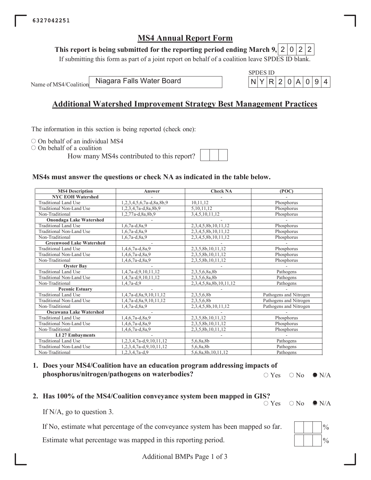This report is being submitted for the reporting period ending March 9, 2 0 2 2

If submitting this form as part of a joint report on behalf of a coalition leave SPDES ID blank.

Name of MS4/Coalition

Niagara Falls Water Board

## **Additional Watershed Improvement Strategy Best Management Practices**

The information in this section is being reported (check one):

 $\circ$  On behalf of an individual MS4

 $\circ$  On behalf of a coalition

How many MS4s contributed to this report?

**SPDES ID** 

Y

 $R|2|$ 

 $0|A$ 

 $\overline{0}$ 9  $\overline{4}$ 

### MS4s must answer the questions or check NA as indicated in the table below.

| <b>MS4 Description</b>          | Answer                   | <b>Check NA</b>        | (POC)                  |  |
|---------------------------------|--------------------------|------------------------|------------------------|--|
| <b>NYC EOH Watershed</b>        |                          |                        |                        |  |
| <b>Traditional Land Use</b>     | 1,2,3,4,5,6,7a-d,8a,8b,9 | 10,11,12               | Phosphorus             |  |
| Traditional Non-Land Use        | 1,2,3,4,7a-d,8a,8b,9     | 5, 10, 11, 12          | Phosphorus             |  |
| Non-Traditional                 | 1,2,77a-d,8a,8b,9        | 3,4,5,10,11,12         | Phosphorus             |  |
| <b>Onondaga Lake Watershed</b>  |                          |                        |                        |  |
| <b>Traditional Land Use</b>     | $1,6,7a-d,8a,9$          | 2,3,4,5,8b,10,11,12    | Phosphorus             |  |
| Traditional Non-Land Use        | $1,6,7a-d,8a,9$          | 2,3,4,5,8b,10,11,12    | Phosphorus             |  |
| Non-Traditional                 | $1,6,7a-d,8a,9$          | 2,3,4,5,8b,10,11,12    | Phosphorus             |  |
| <b>Greenwood Lake Watershed</b> |                          |                        |                        |  |
| Traditional Land Use            | 1,4,6,7a-d,8a,9          | 2,3,5,8b,10,11,12      | Phosphorus             |  |
| Traditional Non-Land Use        | $1,4,6,7a-d,8a,9$        | 2,3,5,8b,10,11,12      | Phosphorus             |  |
| Non-Traditional                 | $1,4,6,7a-d,8a,9$        | 2,3,5,8b,10,11,12      | Phosphorus             |  |
| <b>Oyster Bay</b>               |                          |                        |                        |  |
| <b>Traditional Land Use</b>     | 1,4,7a-d,9,10,11,12      | 2,3,5,6,8a,8b          | Pathogens              |  |
| Traditional Non-Land Use        | 1,4,7a-d,9,10,11,12      | 2,3,5,6,8a,8b          | Pathogens              |  |
| Non-Traditional                 | $1,4,7a-d,9$             | 2,3,4,5,8a,8b,10,11,12 | Pathogens              |  |
| <b>Peconic Estuary</b>          |                          |                        |                        |  |
| <b>Traditional Land Use</b>     | 1,4,7a-d,8a,9,10,11,12   | 2,3,5,6,8b             | Pathogens and Nitrogen |  |
| Traditional Non-Land Use        | 1,4,7a-d,8a,9,10,11,12   | 2,3,5,6,8b             | Pathogens and Nitrogen |  |
| Non-Traditional                 | $1,4,7a-d,8a,9$          | 2,3,4,5,8b,10,11,12    | Pathogens and Nitrogen |  |
| <b>Oscawana Lake Watershed</b>  |                          |                        |                        |  |
| <b>Traditional Land Use</b>     | 1,4,6,7a-d,8a,9          | 2,3,5,8b,10,11,12      | Phosphorus             |  |
| Traditional Non-Land Use        | $1,4,6,7a-d,8a,9$        | 2,3,5,8b,10,11,12      | Phosphorus             |  |
| Non-Traditional                 | $1,4,6,7a-d,8a,9$        | 2,3,5,8b,10,11,12      | Phosphorus             |  |
| <b>LI 27 Embayments</b>         |                          |                        |                        |  |
| Traditional Land Use            | 1,2,3,4,7a-d,9,10,11,12  | 5,6,8a,8b              | Pathogens              |  |
| Traditional Non-Land Use        | 1,2,3,4,7a-d,9,10,11,12  | 5,6,8a,8b              | Pathogens              |  |
| Non-Traditional                 | $1,2,3,4,7a-d,9$         | 5,6,8a,8b,10,11,12     | Pathogens              |  |

#### 1. Does your MS4/Coalition have an education program addressing impacts of phosphorus/nitrogen/pathogens on waterbodies?  $\circ$  Yes

 $\circ$  No  $\bullet$  N/A

#### 2. Has 100% of the MS4/Coalition conveyance system been mapped in GIS?

 $\circ$  Yes  $\bigcirc$  N<sub>0</sub>

 $\bullet$  N/A

If  $N/A$ , go to question 3.

If No, estimate what percentage of the conveyance system has been mapped so far.

Estimate what percentage was mapped in this reporting period.



Additional BMPs Page 1 of 3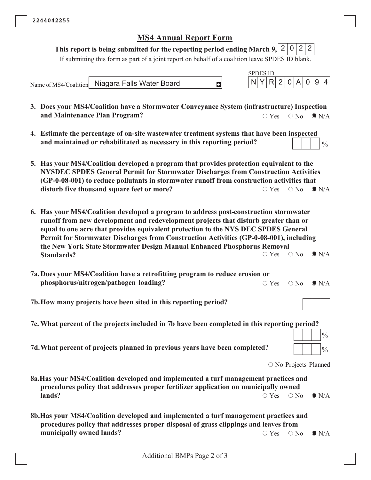# This report is being submitted for the reporting period ending March 9,  $2 | 0 | 2 | 2$

If submitting this form as part of a joint report on behalf of a coalition leave SPDES ID blank.

|                                                                                                                                                                                                                                                                                                                                                                                                                                                              | <b>SPDES ID</b>                                                                             |
|--------------------------------------------------------------------------------------------------------------------------------------------------------------------------------------------------------------------------------------------------------------------------------------------------------------------------------------------------------------------------------------------------------------------------------------------------------------|---------------------------------------------------------------------------------------------|
| Niagara Falls Water Board<br>E.<br>Name of MS4/Coalition                                                                                                                                                                                                                                                                                                                                                                                                     | 9<br>N<br>Y<br>2<br>$\mathsf{A}$<br>R<br>$\overline{0}$<br>$\overline{4}$<br>$\overline{0}$ |
| 3. Does your MS4/Coalition have a Stormwater Conveyance System (infrastructure) Inspection<br>and Maintenance Plan Program?                                                                                                                                                                                                                                                                                                                                  | $\bullet$ N/A<br>$\circ$ Yes<br>$\bigcirc$ No                                               |
| 4. Estimate the percentage of on-site wastewater treatment systems that have been inspected<br>and maintained or rehabilitated as necessary in this reporting period?                                                                                                                                                                                                                                                                                        | $\frac{0}{0}$                                                                               |
| 5. Has your MS4/Coalition developed a program that provides protection equivalent to the<br>NYSDEC SPDES General Permit for Stormwater Discharges from Construction Activities<br>(GP-0-08-001) to reduce pollutants in stormwater runoff from construction activities that<br>disturb five thousand square feet or more?                                                                                                                                    | $\circ$ Yes<br>$\bigcirc$ No<br>$\bullet$ N/A                                               |
| 6. Has your MS4/Coalition developed a program to address post-construction stormwater<br>runoff from new development and redevelopment projects that disturb greater than or<br>equal to one acre that provides equivalent protection to the NYS DEC SPDES General<br>Permit for Stormwater Discharges from Construction Activities (GP-0-08-001), including<br>the New York State Stormwater Design Manual Enhanced Phosphorus Removal<br><b>Standards?</b> | $\bigcirc$ No<br>$\bullet$ N/A<br>$\bigcirc$ Yes                                            |
| 7a. Does your MS4/Coalition have a retrofitting program to reduce erosion or<br>phosphorus/nitrogen/pathogen loading?                                                                                                                                                                                                                                                                                                                                        | $\bullet$ N/A<br>$\circ$ Yes<br>$\circ$ No                                                  |
| 7b. How many projects have been sited in this reporting period?                                                                                                                                                                                                                                                                                                                                                                                              |                                                                                             |
| 7c. What percent of the projects included in 7b have been completed in this reporting period?                                                                                                                                                                                                                                                                                                                                                                | $\frac{0}{0}$                                                                               |
| 7d. What percent of projects planned in previous years have been completed?                                                                                                                                                                                                                                                                                                                                                                                  | $\frac{0}{0}$                                                                               |
|                                                                                                                                                                                                                                                                                                                                                                                                                                                              | $\circ$ No Projects Planned                                                                 |
| 8a. Has your MS4/Coalition developed and implemented a turf management practices and<br>procedures policy that addresses proper fertilizer application on municipally owned<br>lands?                                                                                                                                                                                                                                                                        | $\bigcirc$ Yes<br>$\bullet$ N/A<br>$\bigcirc$ No                                            |

8b. Has your MS4/Coalition developed and implemented a turf management practices and procedures policy that addresses proper disposal of grass clippings and leaves from municipally owned lands?  $\circ$  Yes  $\circ$  No  $\bullet$  N/A